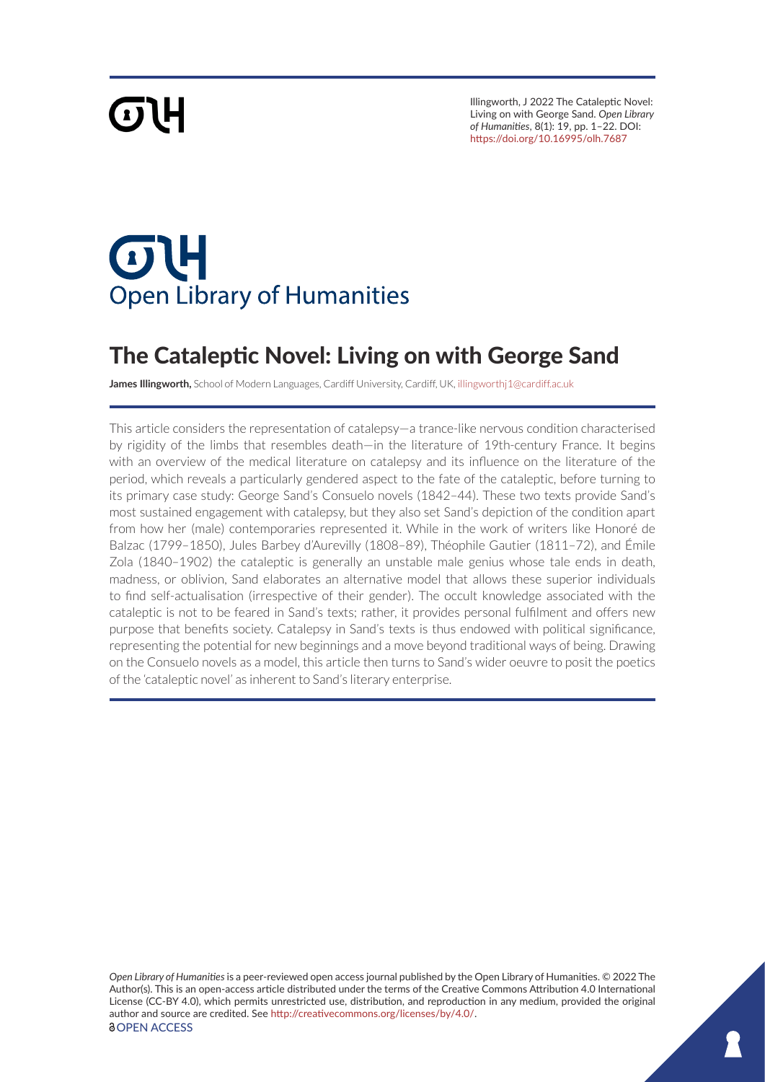# **GTH**

Illingworth, J 2022 The Cataleptic Novel: Living on with George Sand. *Open Library of Humanities*, 8(1): 19, pp. 1–22. DOI: <https://doi.org/10.16995/olh.7687>

## **OH Open Library of Humanities**

### The Cataleptic Novel: Living on with George Sand

**James Illingworth,** School of Modern Languages, Cardiff University, Cardiff, UK, [illingworthj1@cardiff.ac.uk](mailto:illingworthj1@cardiff.ac.uk)

This article considers the representation of catalepsy—a trance-like nervous condition characterised by rigidity of the limbs that resembles death—in the literature of 19th-century France. It begins with an overview of the medical literature on catalepsy and its influence on the literature of the period, which reveals a particularly gendered aspect to the fate of the cataleptic, before turning to its primary case study: George Sand's Consuelo novels (1842–44). These two texts provide Sand's most sustained engagement with catalepsy, but they also set Sand's depiction of the condition apart from how her (male) contemporaries represented it. While in the work of writers like Honoré de Balzac (1799–1850), Jules Barbey d'Aurevilly (1808–89), Théophile Gautier (1811–72), and Émile Zola (1840–1902) the cataleptic is generally an unstable male genius whose tale ends in death, madness, or oblivion, Sand elaborates an alternative model that allows these superior individuals to find self-actualisation (irrespective of their gender). The occult knowledge associated with the cataleptic is not to be feared in Sand's texts; rather, it provides personal fulfilment and offers new purpose that benefits society. Catalepsy in Sand's texts is thus endowed with political significance, representing the potential for new beginnings and a move beyond traditional ways of being. Drawing on the Consuelo novels as a model, this article then turns to Sand's wider oeuvre to posit the poetics of the 'cataleptic novel' as inherent to Sand's literary enterprise.

*Open Library of Humanities* is a peer-reviewed open access journal published by the Open Library of Humanities. © 2022 The Author(s). This is an open-access article distributed under the terms of the Creative Commons Attribution 4.0 International License (CC-BY 4.0), which permits unrestricted use, distribution, and reproduction in any medium, provided the original author and source are credited. See <http://creativecommons.org/licenses/by/4.0/>. *<u>OOPEN ACCESS</u>*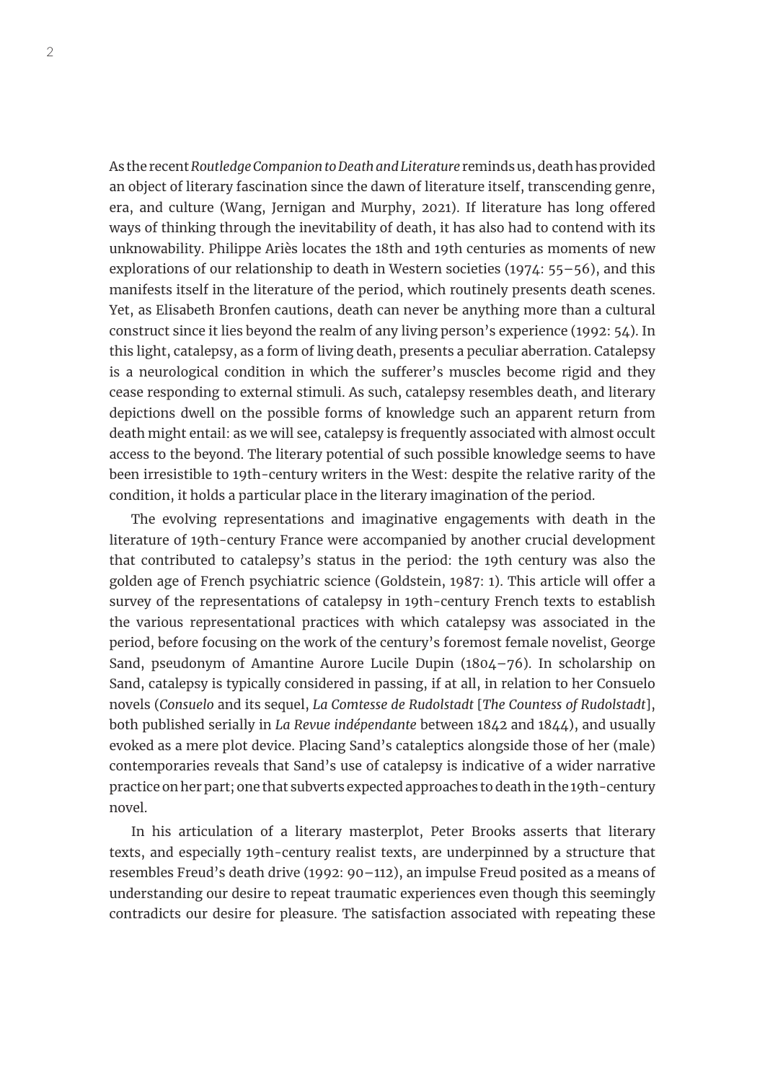As the recent *Routledge Companion to Death and Literature* reminds us, death has provided an object of literary fascination since the dawn of literature itself, transcending genre, era, and culture (Wang, Jernigan and Murphy, 2021). If literature has long offered ways of thinking through the inevitability of death, it has also had to contend with its unknowability. Philippe Ariès locates the 18th and 19th centuries as moments of new explorations of our relationship to death in Western societies (1974: 55–56), and this manifests itself in the literature of the period, which routinely presents death scenes. Yet, as Elisabeth Bronfen cautions, death can never be anything more than a cultural construct since it lies beyond the realm of any living person's experience (1992: 54). In this light, catalepsy, as a form of living death, presents a peculiar aberration. Catalepsy is a neurological condition in which the sufferer's muscles become rigid and they cease responding to external stimuli. As such, catalepsy resembles death, and literary depictions dwell on the possible forms of knowledge such an apparent return from death might entail: as we will see, catalepsy is frequently associated with almost occult access to the beyond. The literary potential of such possible knowledge seems to have been irresistible to 19th-century writers in the West: despite the relative rarity of the condition, it holds a particular place in the literary imagination of the period.

The evolving representations and imaginative engagements with death in the literature of 19th-century France were accompanied by another crucial development that contributed to catalepsy's status in the period: the 19th century was also the golden age of French psychiatric science (Goldstein, 1987: 1). This article will offer a survey of the representations of catalepsy in 19th-century French texts to establish the various representational practices with which catalepsy was associated in the period, before focusing on the work of the century's foremost female novelist, George Sand, pseudonym of Amantine Aurore Lucile Dupin (1804–76). In scholarship on Sand, catalepsy is typically considered in passing, if at all, in relation to her Consuelo novels (*Consuelo* and its sequel, *La Comtesse de Rudolstadt* [*The Countess of Rudolstadt*], both published serially in *La Revue indépendante* between 1842 and 1844), and usually evoked as a mere plot device. Placing Sand's cataleptics alongside those of her (male) contemporaries reveals that Sand's use of catalepsy is indicative of a wider narrative practice on her part; one that subverts expected approaches to death in the 19th-century novel.

In his articulation of a literary masterplot, Peter Brooks asserts that literary texts, and especially 19th-century realist texts, are underpinned by a structure that resembles Freud's death drive (1992: 90–112), an impulse Freud posited as a means of understanding our desire to repeat traumatic experiences even though this seemingly contradicts our desire for pleasure. The satisfaction associated with repeating these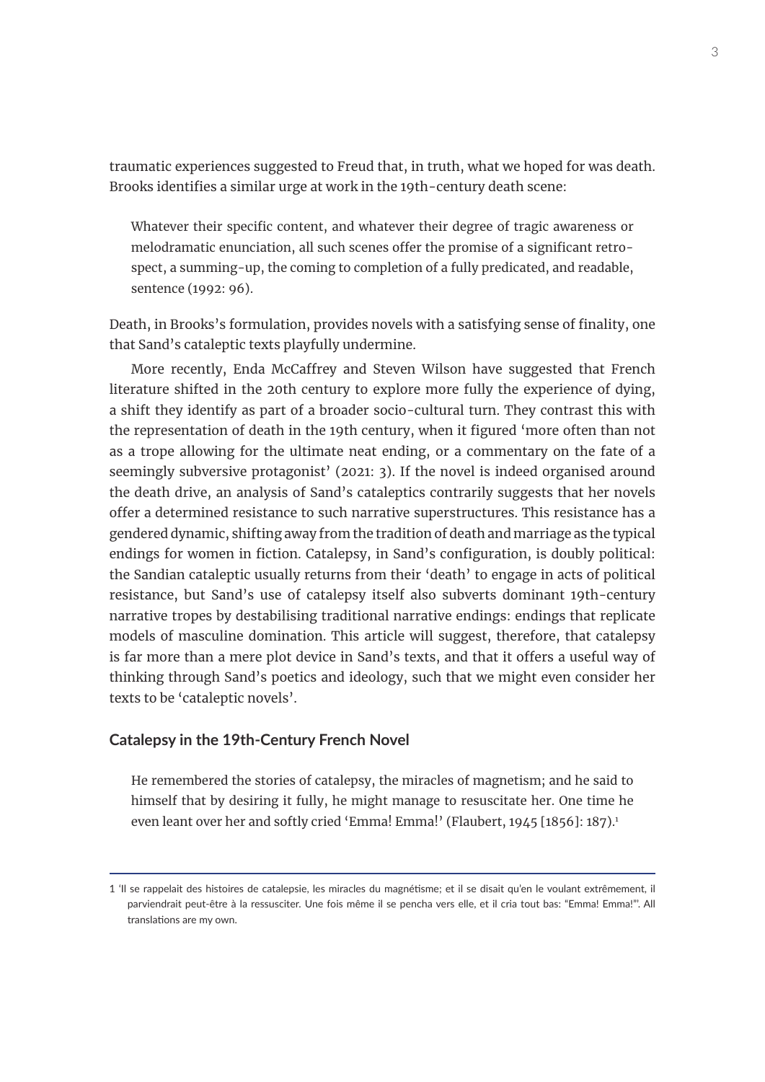traumatic experiences suggested to Freud that, in truth, what we hoped for was death. Brooks identifies a similar urge at work in the 19th-century death scene:

Whatever their specific content, and whatever their degree of tragic awareness or melodramatic enunciation, all such scenes offer the promise of a significant retrospect, a summing-up, the coming to completion of a fully predicated, and readable, sentence (1992: 96).

Death, in Brooks's formulation, provides novels with a satisfying sense of finality, one that Sand's cataleptic texts playfully undermine.

More recently, Enda McCaffrey and Steven Wilson have suggested that French literature shifted in the 20th century to explore more fully the experience of dying, a shift they identify as part of a broader socio-cultural turn. They contrast this with the representation of death in the 19th century, when it figured 'more often than not as a trope allowing for the ultimate neat ending, or a commentary on the fate of a seemingly subversive protagonist' (2021: 3). If the novel is indeed organised around the death drive, an analysis of Sand's cataleptics contrarily suggests that her novels offer a determined resistance to such narrative superstructures. This resistance has a gendered dynamic, shifting away from the tradition of death and marriage as the typical endings for women in fiction. Catalepsy, in Sand's configuration, is doubly political: the Sandian cataleptic usually returns from their 'death' to engage in acts of political resistance, but Sand's use of catalepsy itself also subverts dominant 19th-century narrative tropes by destabilising traditional narrative endings: endings that replicate models of masculine domination. This article will suggest, therefore, that catalepsy is far more than a mere plot device in Sand's texts, and that it offers a useful way of thinking through Sand's poetics and ideology, such that we might even consider her texts to be 'cataleptic novels'.

#### **Catalepsy in the 19th-Century French Novel**

He remembered the stories of catalepsy, the miracles of magnetism; and he said to himself that by desiring it fully, he might manage to resuscitate her. One time he even leant over her and softly cried 'Emma! Emma!' (Flaubert, 1945 [1856]: 187).<sup>1</sup>

<sup>1 &#</sup>x27;Il se rappelait des histoires de catalepsie, les miracles du magnétisme; et il se disait qu'en le voulant extrêmement, il parviendrait peut-être à la ressusciter. Une fois même il se pencha vers elle, et il cria tout bas: "Emma! Emma!"'. All translations are my own.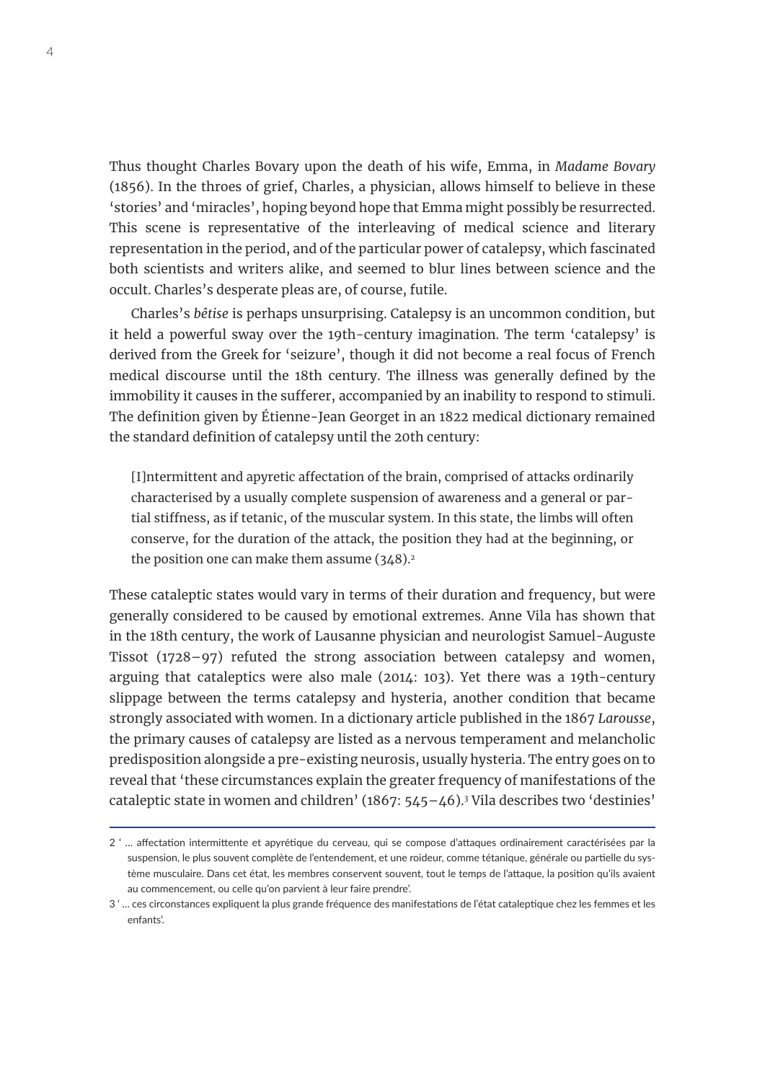Thus thought Charles Bovary upon the death of his wife, Emma, in *Madame Bovary*  (1856). In the throes of grief, Charles, a physician, allows himself to believe in these 'stories' and 'miracles', hoping beyond hope that Emma might possibly be resurrected. This scene is representative of the interleaving of medical science and literary representation in the period, and of the particular power of catalepsy, which fascinated both scientists and writers alike, and seemed to blur lines between science and the occult. Charles's desperate pleas are, of course, futile.

Charles's *bêtise* is perhaps unsurprising. Catalepsy is an uncommon condition, but it held a powerful sway over the 19th-century imagination. The term 'catalepsy' is derived from the Greek for 'seizure', though it did not become a real focus of French medical discourse until the 18th century. The illness was generally defined by the immobility it causes in the sufferer, accompanied by an inability to respond to stimuli. The definition given by Étienne-Jean Georget in an 1822 medical dictionary remained the standard definition of catalepsy until the 20th century:

[I]ntermittent and apyretic affectation of the brain, comprised of attacks ordinarily characterised by a usually complete suspension of awareness and a general or partial stiffness, as if tetanic, of the muscular system. In this state, the limbs will often conserve, for the duration of the attack, the position they had at the beginning, or the position one can make them assume  $(348)^2$ 

These cataleptic states would vary in terms of their duration and frequency, but were generally considered to be caused by emotional extremes. Anne Vila has shown that in the 18th century, the work of Lausanne physician and neurologist Samuel-Auguste Tissot (1728–97) refuted the strong association between catalepsy and women, arguing that cataleptics were also male (2014: 103). Yet there was a 19th-century slippage between the terms catalepsy and hysteria, another condition that became strongly associated with women. In a dictionary article published in the 1867 *Larousse*, the primary causes of catalepsy are listed as a nervous temperament and melancholic predisposition alongside a pre-existing neurosis, usually hysteria. The entry goes on to reveal that 'these circumstances explain the greater frequency of manifestations of the cataleptic state in women and children' (1867: 545–46).3 Vila describes two 'destinies'

<sup>2 &#</sup>x27; … affectation intermittente et apyrétique du cerveau, qui se compose d'attaques ordinairement caractérisées par la suspension, le plus souvent complète de l'entendement, et une roideur, comme tétanique, générale ou partielle du système musculaire. Dans cet état, les membres conservent souvent, tout le temps de l'attaque, la position qu'ils avaient au commencement, ou celle qu'on parvient à leur faire prendre'.

<sup>3 &#</sup>x27; … ces circonstances expliquent la plus grande fréquence des manifestations de l'état cataleptique chez les femmes et les enfants'.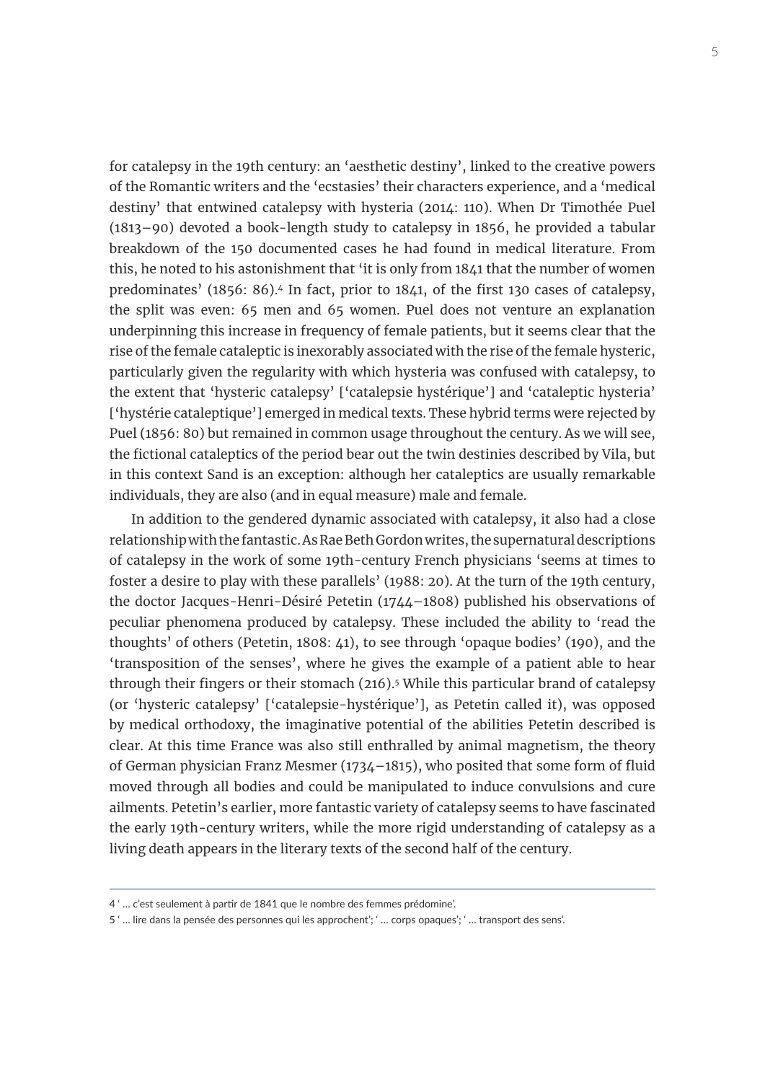for catalepsy in the 19th century: an 'aesthetic destiny', linked to the creative powers of the Romantic writers and the 'ecstasies' their characters experience, and a 'medical destiny' that entwined catalepsy with hysteria (2014: 110). When Dr Timothée Puel (1813–90) devoted a book-length study to catalepsy in 1856, he provided a tabular breakdown of the 150 documented cases he had found in medical literature. From this, he noted to his astonishment that 'it is only from 1841 that the number of women predominates' (1856: 86).4 In fact, prior to 1841, of the first 130 cases of catalepsy, the split was even: 65 men and 65 women. Puel does not venture an explanation underpinning this increase in frequency of female patients, but it seems clear that the rise of the female cataleptic is inexorably associated with the rise of the female hysteric, particularly given the regularity with which hysteria was confused with catalepsy, to the extent that 'hysteric catalepsy' ['catalepsie hystérique'] and 'cataleptic hysteria' ['hystérie cataleptique'] emerged in medical texts. These hybrid terms were rejected by Puel (1856: 80) but remained in common usage throughout the century. As we will see, the fictional cataleptics of the period bear out the twin destinies described by Vila, but in this context Sand is an exception: although her cataleptics are usually remarkable individuals, they are also (and in equal measure) male and female.

In addition to the gendered dynamic associated with catalepsy, it also had a close relationship with the fantastic. As Rae Beth Gordon writes, the supernatural descriptions of catalepsy in the work of some 19th-century French physicians 'seems at times to foster a desire to play with these parallels' (1988: 20). At the turn of the 19th century, the doctor Jacques-Henri-Désiré Petetin (1744–1808) published his observations of peculiar phenomena produced by catalepsy. These included the ability to 'read the thoughts' of others (Petetin, 1808: 41), to see through 'opaque bodies' (190), and the 'transposition of the senses', where he gives the example of a patient able to hear through their fingers or their stomach (216).<sup>5</sup> While this particular brand of catalepsy (or 'hysteric catalepsy' ['catalepsie-hystérique'], as Petetin called it), was opposed by medical orthodoxy, the imaginative potential of the abilities Petetin described is clear. At this time France was also still enthralled by animal magnetism, the theory of German physician Franz Mesmer (1734–1815), who posited that some form of fluid moved through all bodies and could be manipulated to induce convulsions and cure ailments. Petetin's earlier, more fantastic variety of catalepsy seems to have fascinated the early 19th-century writers, while the more rigid understanding of catalepsy as a living death appears in the literary texts of the second half of the century.

<sup>4 &#</sup>x27; … c'est seulement à partir de 1841 que le nombre des femmes prédomine'.

<sup>5 &#</sup>x27; … lire dans la pensée des personnes qui les approchent'; ' … corps opaques'; ' … transport des sens'.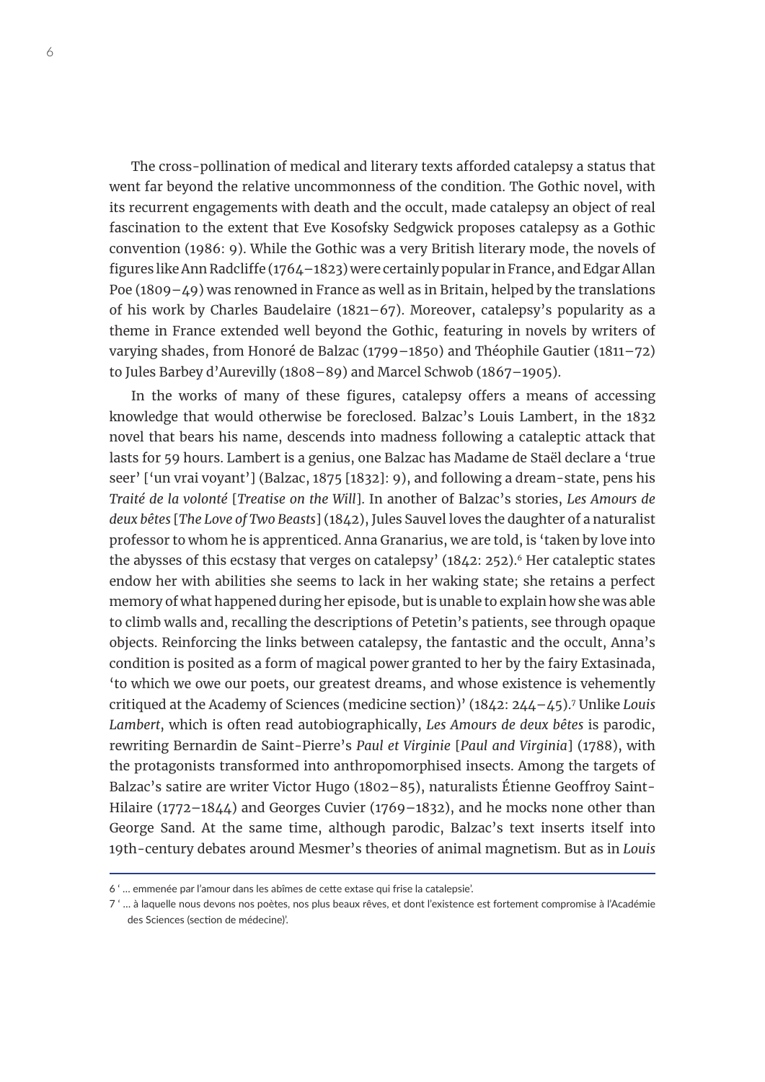The cross-pollination of medical and literary texts afforded catalepsy a status that went far beyond the relative uncommonness of the condition. The Gothic novel, with its recurrent engagements with death and the occult, made catalepsy an object of real fascination to the extent that Eve Kosofsky Sedgwick proposes catalepsy as a Gothic convention (1986: 9). While the Gothic was a very British literary mode, the novels of figures like Ann Radcliffe (1764–1823) were certainly popular in France, and Edgar Allan Poe (1809–49) was renowned in France as well as in Britain, helped by the translations of his work by Charles Baudelaire (1821–67). Moreover, catalepsy's popularity as a theme in France extended well beyond the Gothic, featuring in novels by writers of varying shades, from Honoré de Balzac (1799–1850) and Théophile Gautier (1811–72) to Jules Barbey d'Aurevilly (1808–89) and Marcel Schwob (1867–1905).

In the works of many of these figures, catalepsy offers a means of accessing knowledge that would otherwise be foreclosed. Balzac's Louis Lambert, in the 1832 novel that bears his name, descends into madness following a cataleptic attack that lasts for 59 hours. Lambert is a genius, one Balzac has Madame de Staël declare a 'true seer' ['un vrai voyant'] (Balzac, 1875 [1832]: 9), and following a dream-state, pens his *Traité de la volonté* [*Treatise on the Will*]. In another of Balzac's stories, *Les Amours de deux bêtes* [*The Love of Two Beasts*] (1842), Jules Sauvel loves the daughter of a naturalist professor to whom he is apprenticed. Anna Granarius, we are told, is 'taken by love into the abysses of this ecstasy that verges on catalepsy'  $(1842: 252)$ .<sup>6</sup> Her cataleptic states endow her with abilities she seems to lack in her waking state; she retains a perfect memory of what happened during her episode, but is unable to explain how she was able to climb walls and, recalling the descriptions of Petetin's patients, see through opaque objects. Reinforcing the links between catalepsy, the fantastic and the occult, Anna's condition is posited as a form of magical power granted to her by the fairy Extasinada, 'to which we owe our poets, our greatest dreams, and whose existence is vehemently critiqued at the Academy of Sciences (medicine section)' (1842: 244–45).7 Unlike *Louis Lambert*, which is often read autobiographically, *Les Amours de deux bêtes* is parodic, rewriting Bernardin de Saint-Pierre's *Paul et Virginie* [*Paul and Virginia*] (1788), with the protagonists transformed into anthropomorphised insects. Among the targets of Balzac's satire are writer Victor Hugo (1802–85), naturalists Étienne Geoffroy Saint-Hilaire (1772–1844) and Georges Cuvier (1769–1832), and he mocks none other than George Sand. At the same time, although parodic, Balzac's text inserts itself into 19th-century debates around Mesmer's theories of animal magnetism. But as in *Louis* 

<sup>6 &#</sup>x27; … emmenée par l'amour dans les abîmes de cette extase qui frise la catalepsie'.

<sup>7 &#</sup>x27; … à laquelle nous devons nos poètes, nos plus beaux rêves, et dont l'existence est fortement compromise à l'Académie des Sciences (section de médecine)'.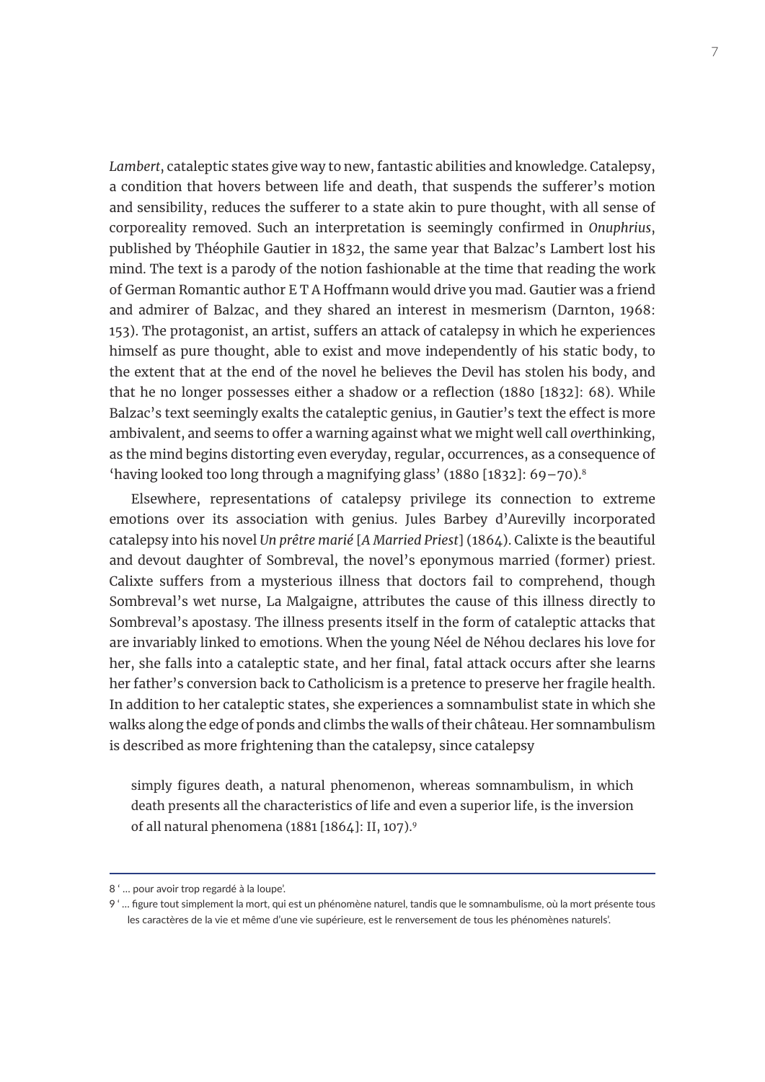*Lambert*, cataleptic states give way to new, fantastic abilities and knowledge. Catalepsy, a condition that hovers between life and death, that suspends the sufferer's motion and sensibility, reduces the sufferer to a state akin to pure thought, with all sense of corporeality removed. Such an interpretation is seemingly confirmed in *Onuphrius*, published by Théophile Gautier in 1832, the same year that Balzac's Lambert lost his mind. The text is a parody of the notion fashionable at the time that reading the work of German Romantic author E T A Hoffmann would drive you mad. Gautier was a friend and admirer of Balzac, and they shared an interest in mesmerism (Darnton, 1968: 153). The protagonist, an artist, suffers an attack of catalepsy in which he experiences himself as pure thought, able to exist and move independently of his static body, to the extent that at the end of the novel he believes the Devil has stolen his body, and that he no longer possesses either a shadow or a reflection (1880 [1832]: 68). While Balzac's text seemingly exalts the cataleptic genius, in Gautier's text the effect is more ambivalent, and seems to offer a warning against what we might well call *over*thinking, as the mind begins distorting even everyday, regular, occurrences, as a consequence of 'having looked too long through a magnifying glass' (1880 [1832]: 69–70).8

Elsewhere, representations of catalepsy privilege its connection to extreme emotions over its association with genius. Jules Barbey d'Aurevilly incorporated catalepsy into his novel *Un prêtre marié* [*A Married Priest*] (1864). Calixte is the beautiful and devout daughter of Sombreval, the novel's eponymous married (former) priest. Calixte suffers from a mysterious illness that doctors fail to comprehend, though Sombreval's wet nurse, La Malgaigne, attributes the cause of this illness directly to Sombreval's apostasy. The illness presents itself in the form of cataleptic attacks that are invariably linked to emotions. When the young Néel de Néhou declares his love for her, she falls into a cataleptic state, and her final, fatal attack occurs after she learns her father's conversion back to Catholicism is a pretence to preserve her fragile health. In addition to her cataleptic states, she experiences a somnambulist state in which she walks along the edge of ponds and climbs the walls of their château. Her somnambulism is described as more frightening than the catalepsy, since catalepsy

simply figures death, a natural phenomenon, whereas somnambulism, in which death presents all the characteristics of life and even a superior life, is the inversion of all natural phenomena (1881 [1864]: II, 107).9

<sup>8 &#</sup>x27; … pour avoir trop regardé à la loupe'.

<sup>9 &#</sup>x27; … figure tout simplement la mort, qui est un phénomène naturel, tandis que le somnambulisme, où la mort présente tous les caractères de la vie et même d'une vie supérieure, est le renversement de tous les phénomènes naturels'.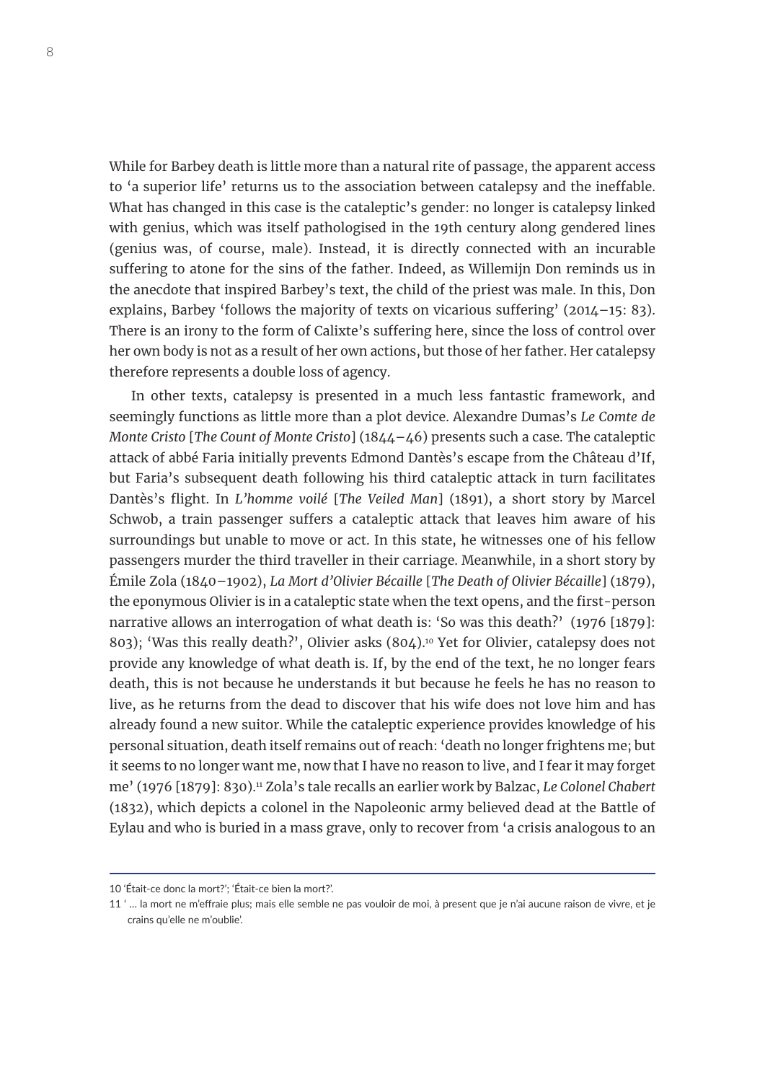While for Barbey death is little more than a natural rite of passage, the apparent access to 'a superior life' returns us to the association between catalepsy and the ineffable. What has changed in this case is the cataleptic's gender: no longer is catalepsy linked with genius, which was itself pathologised in the 19th century along gendered lines (genius was, of course, male). Instead, it is directly connected with an incurable suffering to atone for the sins of the father. Indeed, as Willemijn Don reminds us in the anecdote that inspired Barbey's text, the child of the priest was male. In this, Don explains, Barbey 'follows the majority of texts on vicarious suffering' (2014–15: 83). There is an irony to the form of Calixte's suffering here, since the loss of control over her own body is not as a result of her own actions, but those of her father. Her catalepsy therefore represents a double loss of agency.

In other texts, catalepsy is presented in a much less fantastic framework, and seemingly functions as little more than a plot device. Alexandre Dumas's *Le Comte de Monte Cristo* [*The Count of Monte Cristo*] (1844–46) presents such a case. The cataleptic attack of abbé Faria initially prevents Edmond Dantès's escape from the Château d'If, but Faria's subsequent death following his third cataleptic attack in turn facilitates Dantès's flight. In *L'homme voilé* [*The Veiled Man*] (1891), a short story by Marcel Schwob, a train passenger suffers a cataleptic attack that leaves him aware of his surroundings but unable to move or act. In this state, he witnesses one of his fellow passengers murder the third traveller in their carriage. Meanwhile, in a short story by Émile Zola (1840–1902), *La Mort d'Olivier Bécaille* [*The Death of Olivier Bécaille*] (1879), the eponymous Olivier is in a cataleptic state when the text opens, and the first-person narrative allows an interrogation of what death is: 'So was this death?' (1976 [1879]: 803); 'Was this really death?', Olivier asks (804).<sup>10</sup> Yet for Olivier, catalepsy does not provide any knowledge of what death is. If, by the end of the text, he no longer fears death, this is not because he understands it but because he feels he has no reason to live, as he returns from the dead to discover that his wife does not love him and has already found a new suitor. While the cataleptic experience provides knowledge of his personal situation, death itself remains out of reach: 'death no longer frightens me; but it seems to no longer want me, now that I have no reason to live, and I fear it may forget me' (1976 [1879]: 830).11 Zola's tale recalls an earlier work by Balzac, *Le Colonel Chabert*  (1832), which depicts a colonel in the Napoleonic army believed dead at the Battle of Eylau and who is buried in a mass grave, only to recover from 'a crisis analogous to an

<sup>10 &#</sup>x27;Était-ce donc la mort?'; 'Était-ce bien la mort?'.

<sup>11 &#</sup>x27; … la mort ne m'effraie plus; mais elle semble ne pas vouloir de moi, à present que je n'ai aucune raison de vivre, et je crains qu'elle ne m'oublie'.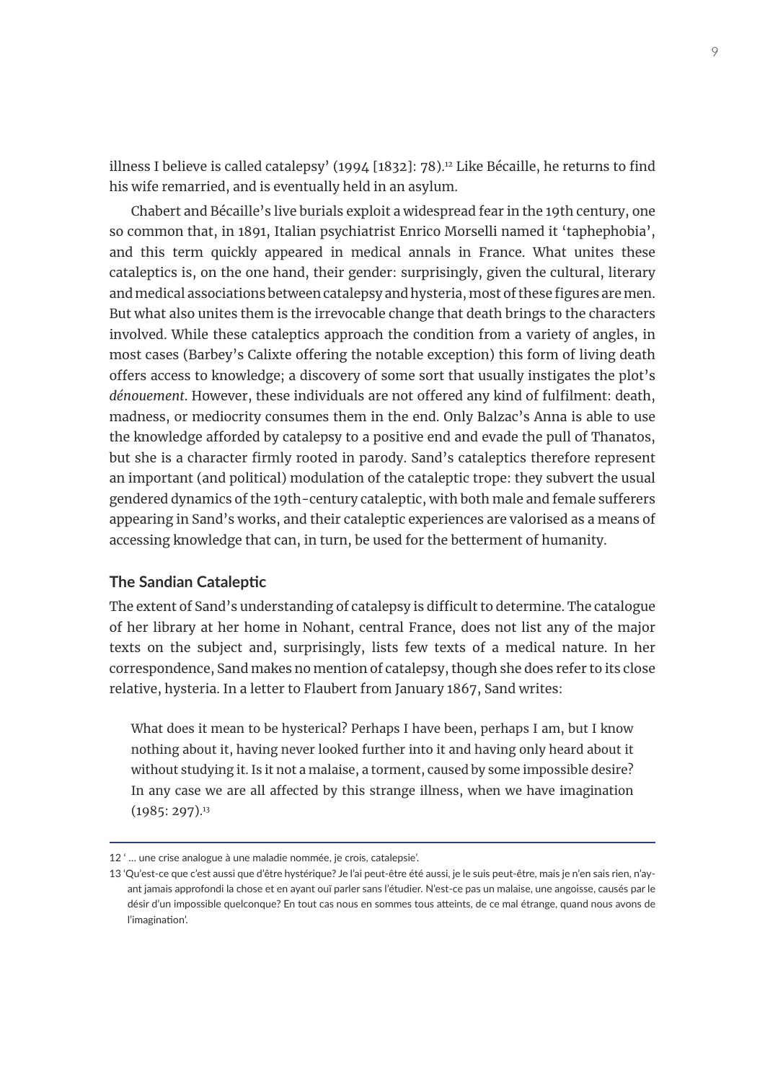illness I believe is called catalepsy' (1994 [1832]: 78).<sup>12</sup> Like Bécaille, he returns to find his wife remarried, and is eventually held in an asylum.

Chabert and Bécaille's live burials exploit a widespread fear in the 19th century, one so common that, in 1891, Italian psychiatrist Enrico Morselli named it 'taphephobia', and this term quickly appeared in medical annals in France. What unites these cataleptics is, on the one hand, their gender: surprisingly, given the cultural, literary and medical associations between catalepsy and hysteria, most of these figures are men. But what also unites them is the irrevocable change that death brings to the characters involved. While these cataleptics approach the condition from a variety of angles, in most cases (Barbey's Calixte offering the notable exception) this form of living death offers access to knowledge; a discovery of some sort that usually instigates the plot's *dénouement*. However, these individuals are not offered any kind of fulfilment: death, madness, or mediocrity consumes them in the end. Only Balzac's Anna is able to use the knowledge afforded by catalepsy to a positive end and evade the pull of Thanatos, but she is a character firmly rooted in parody. Sand's cataleptics therefore represent an important (and political) modulation of the cataleptic trope: they subvert the usual gendered dynamics of the 19th-century cataleptic, with both male and female sufferers appearing in Sand's works, and their cataleptic experiences are valorised as a means of accessing knowledge that can, in turn, be used for the betterment of humanity.

#### **The Sandian Cataleptic**

The extent of Sand's understanding of catalepsy is difficult to determine. The catalogue of her library at her home in Nohant, central France, does not list any of the major texts on the subject and, surprisingly, lists few texts of a medical nature. In her correspondence, Sand makes no mention of catalepsy, though she does refer to its close relative, hysteria. In a letter to Flaubert from January 1867, Sand writes:

What does it mean to be hysterical? Perhaps I have been, perhaps I am, but I know nothing about it, having never looked further into it and having only heard about it without studying it. Is it not a malaise, a torment, caused by some impossible desire? In any case we are all affected by this strange illness, when we have imagination  $(1985:297).$ <sup>13</sup>

<sup>12 &#</sup>x27; … une crise analogue à une maladie nommée, je crois, catalepsie'.

<sup>13 &#</sup>x27;Qu'est-ce que c'est aussi que d'être hystérique? Je l'ai peut-être été aussi, je le suis peut-être, mais je n'en sais rien, n'ayant jamais approfondi la chose et en ayant ouï parler sans l'étudier. N'est-ce pas un malaise, une angoisse, causés par le désir d'un impossible quelconque? En tout cas nous en sommes tous atteints, de ce mal étrange, quand nous avons de l'imagination'.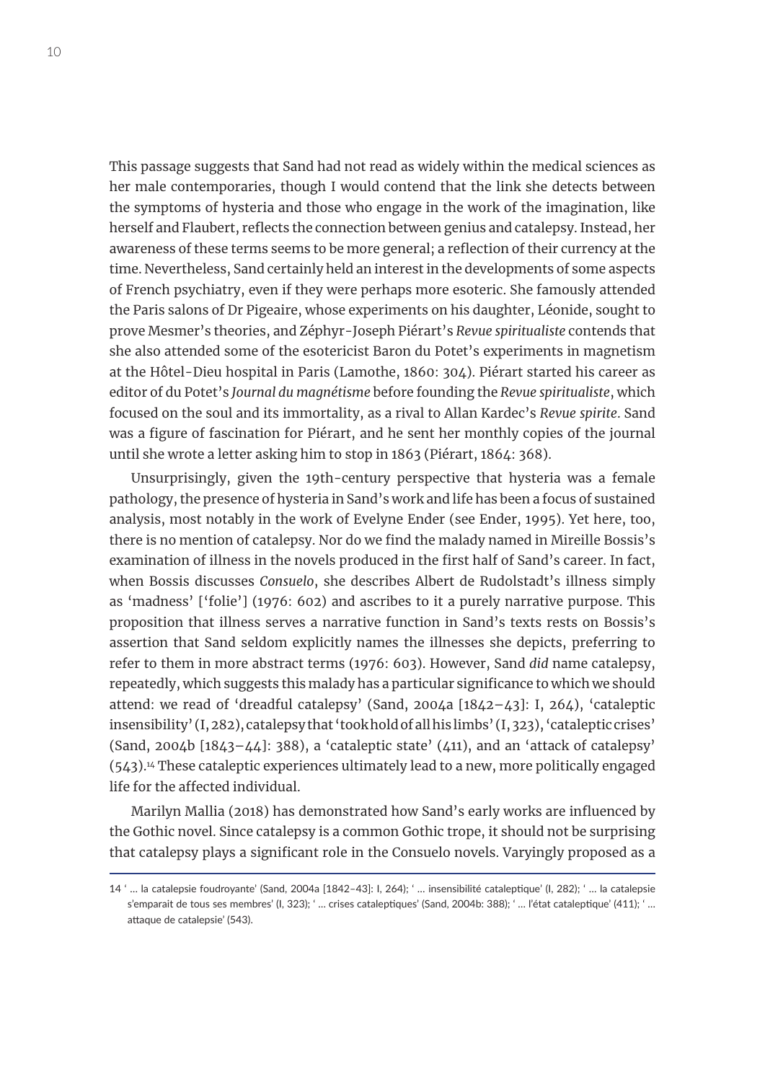This passage suggests that Sand had not read as widely within the medical sciences as her male contemporaries, though I would contend that the link she detects between the symptoms of hysteria and those who engage in the work of the imagination, like herself and Flaubert, reflects the connection between genius and catalepsy. Instead, her awareness of these terms seems to be more general; a reflection of their currency at the time. Nevertheless, Sand certainly held an interest in the developments of some aspects of French psychiatry, even if they were perhaps more esoteric. She famously attended the Paris salons of Dr Pigeaire, whose experiments on his daughter, Léonide, sought to prove Mesmer's theories, and Zéphyr-Joseph Piérart's *Revue spiritualiste* contends that she also attended some of the esotericist Baron du Potet's experiments in magnetism at the Hôtel-Dieu hospital in Paris (Lamothe, 1860: 304). Piérart started his career as editor of du Potet's *Journal du magnétisme* before founding the *Revue spiritualiste*, which focused on the soul and its immortality, as a rival to Allan Kardec's *Revue spirite*. Sand was a figure of fascination for Piérart, and he sent her monthly copies of the journal until she wrote a letter asking him to stop in 1863 (Piérart, 1864: 368).

Unsurprisingly, given the 19th-century perspective that hysteria was a female pathology, the presence of hysteria in Sand's work and life has been a focus of sustained analysis, most notably in the work of Evelyne Ender (see Ender, 1995). Yet here, too, there is no mention of catalepsy. Nor do we find the malady named in Mireille Bossis's examination of illness in the novels produced in the first half of Sand's career. In fact, when Bossis discusses *Consuelo*, she describes Albert de Rudolstadt's illness simply as 'madness' ['folie'] (1976: 602) and ascribes to it a purely narrative purpose. This proposition that illness serves a narrative function in Sand's texts rests on Bossis's assertion that Sand seldom explicitly names the illnesses she depicts, preferring to refer to them in more abstract terms (1976: 603). However, Sand *did* name catalepsy, repeatedly, which suggests this malady has a particular significance to which we should attend: we read of 'dreadful catalepsy' (Sand, 2004a [1842–43]: I, 264), 'cataleptic insensibility' (I, 282), catalepsy that 'took hold of all his limbs' (I, 323), 'cataleptic crises' (Sand, 2004b  $[1843 - 44]$ : 388), a 'cataleptic state' (411), and an 'attack of catalepsy' (543).14 These cataleptic experiences ultimately lead to a new, more politically engaged life for the affected individual.

Marilyn Mallia (2018) has demonstrated how Sand's early works are influenced by the Gothic novel. Since catalepsy is a common Gothic trope, it should not be surprising that catalepsy plays a significant role in the Consuelo novels. Varyingly proposed as a

<sup>14 &#</sup>x27; … la catalepsie foudroyante' (Sand, 2004a [1842–43]: I, 264); ' … insensibilité cataleptique' (I, 282); ' … la catalepsie s'emparait de tous ses membres' (I, 323); ' ... crises cataleptiques' (Sand, 2004b: 388); ' ... l'état cataleptique' (411); ' ... attaque de catalepsie' (543).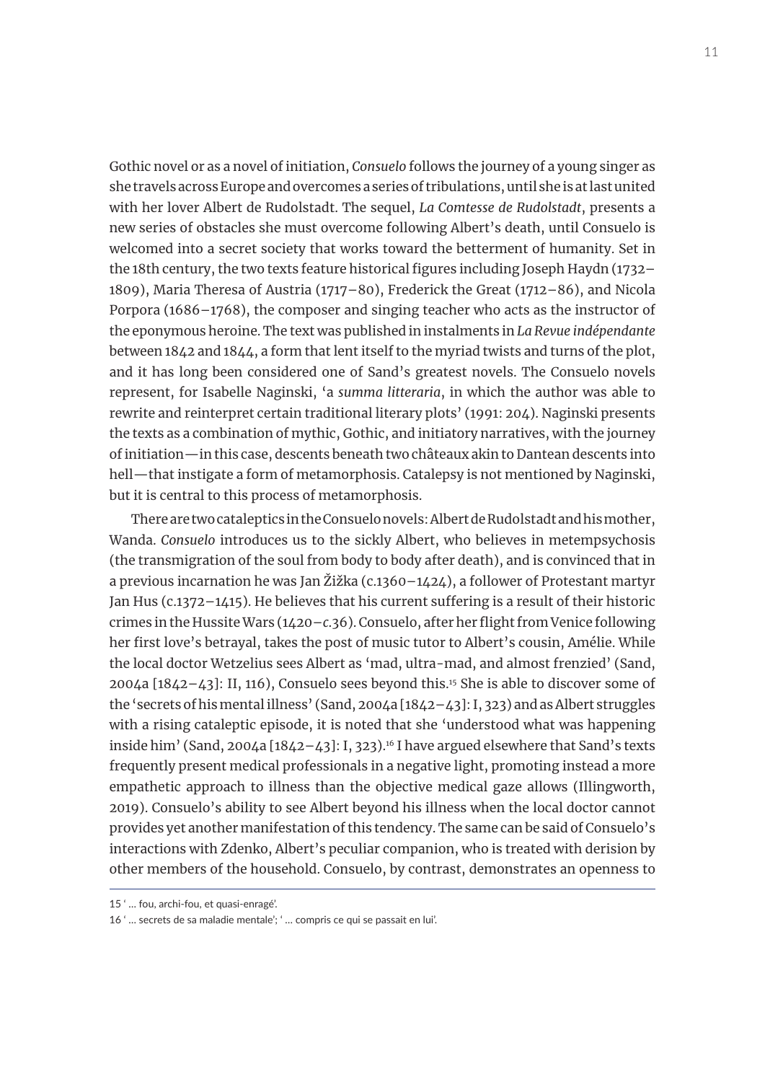Gothic novel or as a novel of initiation, *Consuelo* follows the journey of a young singer as she travels across Europe and overcomes a series of tribulations, until she is at last united with her lover Albert de Rudolstadt. The sequel, *La Comtesse de Rudolstadt*, presents a new series of obstacles she must overcome following Albert's death, until Consuelo is welcomed into a secret society that works toward the betterment of humanity. Set in the 18th century, the two texts feature historical figures including Joseph Haydn (1732– 1809), Maria Theresa of Austria (1717–80), Frederick the Great (1712–86), and Nicola Porpora (1686–1768), the composer and singing teacher who acts as the instructor of the eponymous heroine. The text was published in instalments in *La Revue indépendante* between 1842 and 1844, a form that lent itself to the myriad twists and turns of the plot, and it has long been considered one of Sand's greatest novels. The Consuelo novels represent, for Isabelle Naginski, 'a *summa litteraria*, in which the author was able to rewrite and reinterpret certain traditional literary plots' (1991: 204). Naginski presents the texts as a combination of mythic, Gothic, and initiatory narratives, with the journey of initiation—in this case, descents beneath two châteaux akin to Dantean descents into hell—that instigate a form of metamorphosis. Catalepsy is not mentioned by Naginski, but it is central to this process of metamorphosis.

There are two cataleptics in the Consuelo novels: Albert de Rudolstadt and his mother, Wanda. *Consuelo* introduces us to the sickly Albert, who believes in metempsychosis (the transmigration of the soul from body to body after death), and is convinced that in a previous incarnation he was Jan Žižka (c.1360–1424), a follower of Protestant martyr Jan Hus (c.1372–1415). He believes that his current suffering is a result of their historic crimes in the Hussite Wars (1420–*c*.36). Consuelo, after her flight from Venice following her first love's betrayal, takes the post of music tutor to Albert's cousin, Amélie. While the local doctor Wetzelius sees Albert as 'mad, ultra-mad, and almost frenzied' (Sand, 2004a [1842–43]: II, 116), Consuelo sees beyond this.15 She is able to discover some of the 'secrets of his mental illness' (Sand, 2004a [1842–43]: I, 323) and as Albert struggles with a rising cataleptic episode, it is noted that she 'understood what was happening inside him' (Sand, 2004a  $[1842-43]$ : I, 323).<sup>16</sup> I have argued elsewhere that Sand's texts frequently present medical professionals in a negative light, promoting instead a more empathetic approach to illness than the objective medical gaze allows (Illingworth, 2019). Consuelo's ability to see Albert beyond his illness when the local doctor cannot provides yet another manifestation of this tendency. The same can be said of Consuelo's interactions with Zdenko, Albert's peculiar companion, who is treated with derision by other members of the household. Consuelo, by contrast, demonstrates an openness to

<sup>15 &#</sup>x27; … fou, archi-fou, et quasi-enragé'.

<sup>16 &#</sup>x27; … secrets de sa maladie mentale'; ' … compris ce qui se passait en lui'.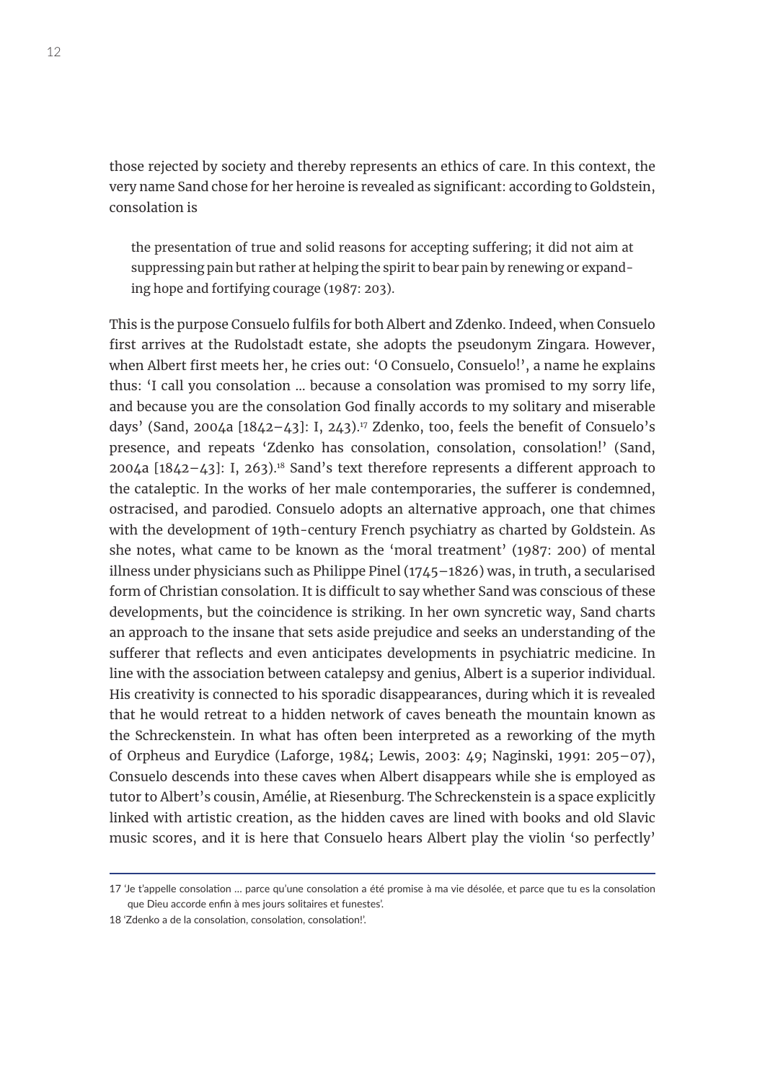those rejected by society and thereby represents an ethics of care. In this context, the very name Sand chose for her heroine is revealed as significant: according to Goldstein, consolation is

the presentation of true and solid reasons for accepting suffering; it did not aim at suppressing pain but rather at helping the spirit to bear pain by renewing or expanding hope and fortifying courage (1987: 203).

This is the purpose Consuelo fulfils for both Albert and Zdenko. Indeed, when Consuelo first arrives at the Rudolstadt estate, she adopts the pseudonym Zingara. However, when Albert first meets her, he cries out: 'O Consuelo, Consuelo!', a name he explains thus: 'I call you consolation … because a consolation was promised to my sorry life, and because you are the consolation God finally accords to my solitary and miserable days' (Sand, 2004a  $[1842-43]$ : I, 243).<sup>17</sup> Zdenko, too, feels the benefit of Consuelo's presence, and repeats 'Zdenko has consolation, consolation, consolation!' (Sand, 2004a  $[1842-43]$ : I, 263).<sup>18</sup> Sand's text therefore represents a different approach to the cataleptic. In the works of her male contemporaries, the sufferer is condemned, ostracised, and parodied. Consuelo adopts an alternative approach, one that chimes with the development of 19th-century French psychiatry as charted by Goldstein. As she notes, what came to be known as the 'moral treatment' (1987: 200) of mental illness under physicians such as Philippe Pinel (1745–1826) was, in truth, a secularised form of Christian consolation. It is difficult to say whether Sand was conscious of these developments, but the coincidence is striking. In her own syncretic way, Sand charts an approach to the insane that sets aside prejudice and seeks an understanding of the sufferer that reflects and even anticipates developments in psychiatric medicine. In line with the association between catalepsy and genius, Albert is a superior individual. His creativity is connected to his sporadic disappearances, during which it is revealed that he would retreat to a hidden network of caves beneath the mountain known as the Schreckenstein. In what has often been interpreted as a reworking of the myth of Orpheus and Eurydice (Laforge, 1984; Lewis, 2003: 49; Naginski, 1991: 205–07), Consuelo descends into these caves when Albert disappears while she is employed as tutor to Albert's cousin, Amélie, at Riesenburg. The Schreckenstein is a space explicitly linked with artistic creation, as the hidden caves are lined with books and old Slavic music scores, and it is here that Consuelo hears Albert play the violin 'so perfectly'

<sup>17 &#</sup>x27;Je t'appelle consolation … parce qu'une consolation a été promise à ma vie désolée, et parce que tu es la consolation que Dieu accorde enfin à mes jours solitaires et funestes'.

<sup>18 &#</sup>x27;Zdenko a de la consolation, consolation, consolation!'.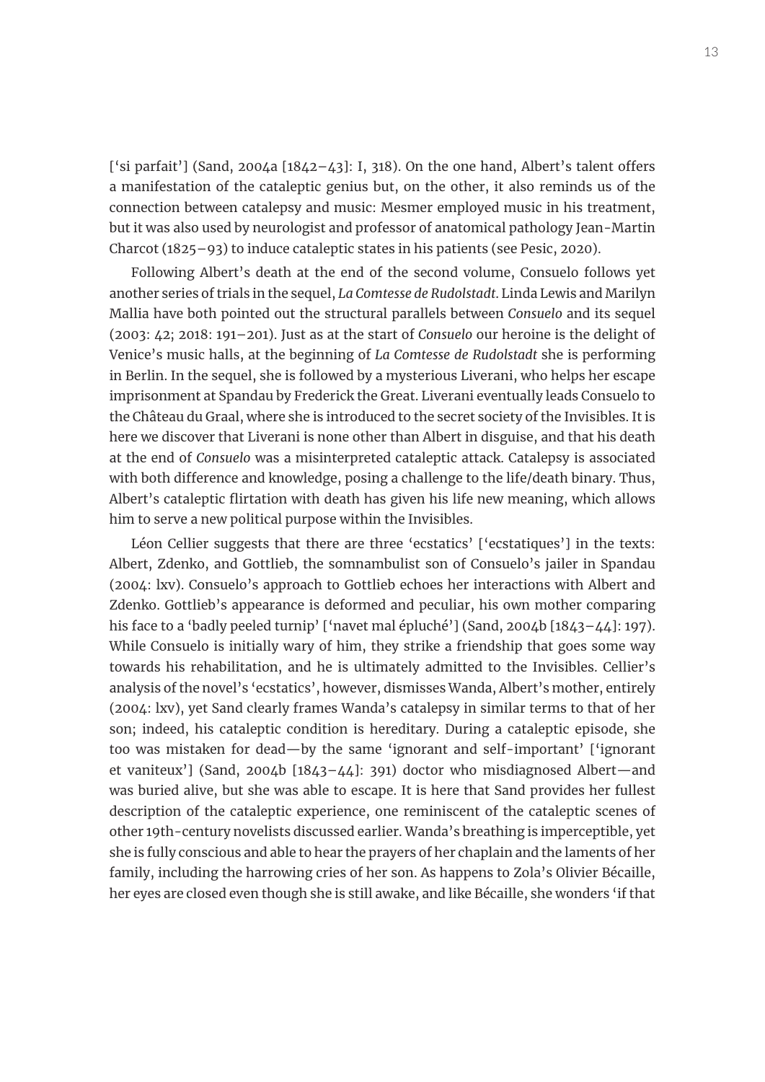['si parfait'] (Sand, 2004a  $[1842-43]$ : I, 318). On the one hand, Albert's talent offers a manifestation of the cataleptic genius but, on the other, it also reminds us of the connection between catalepsy and music: Mesmer employed music in his treatment, but it was also used by neurologist and professor of anatomical pathology Jean-Martin Charcot (1825–93) to induce cataleptic states in his patients (see Pesic, 2020).

Following Albert's death at the end of the second volume, Consuelo follows yet another series of trials in the sequel, *La Comtesse de Rudolstadt*. Linda Lewis and Marilyn Mallia have both pointed out the structural parallels between *Consuelo* and its sequel (2003: 42; 2018: 191–201). Just as at the start of *Consuelo* our heroine is the delight of Venice's music halls, at the beginning of *La Comtesse de Rudolstadt* she is performing in Berlin. In the sequel, she is followed by a mysterious Liverani, who helps her escape imprisonment at Spandau by Frederick the Great. Liverani eventually leads Consuelo to the Château du Graal, where she is introduced to the secret society of the Invisibles. It is here we discover that Liverani is none other than Albert in disguise, and that his death at the end of *Consuelo* was a misinterpreted cataleptic attack. Catalepsy is associated with both difference and knowledge, posing a challenge to the life/death binary. Thus, Albert's cataleptic flirtation with death has given his life new meaning, which allows him to serve a new political purpose within the Invisibles.

Léon Cellier suggests that there are three 'ecstatics' ['ecstatiques'] in the texts: Albert, Zdenko, and Gottlieb, the somnambulist son of Consuelo's jailer in Spandau (2004: lxv). Consuelo's approach to Gottlieb echoes her interactions with Albert and Zdenko. Gottlieb's appearance is deformed and peculiar, his own mother comparing his face to a 'badly peeled turnip' ['navet mal épluché'] (Sand, 2004b [1843-44]: 197). While Consuelo is initially wary of him, they strike a friendship that goes some way towards his rehabilitation, and he is ultimately admitted to the Invisibles. Cellier's analysis of the novel's 'ecstatics', however, dismisses Wanda, Albert's mother, entirely (2004: lxv), yet Sand clearly frames Wanda's catalepsy in similar terms to that of her son; indeed, his cataleptic condition is hereditary. During a cataleptic episode, she too was mistaken for dead—by the same 'ignorant and self-important' ['ignorant et vaniteux'] (Sand, 2004b [1843–44]: 391) doctor who misdiagnosed Albert—and was buried alive, but she was able to escape. It is here that Sand provides her fullest description of the cataleptic experience, one reminiscent of the cataleptic scenes of other 19th-century novelists discussed earlier. Wanda's breathing is imperceptible, yet she is fully conscious and able to hear the prayers of her chaplain and the laments of her family, including the harrowing cries of her son. As happens to Zola's Olivier Bécaille, her eyes are closed even though she is still awake, and like Bécaille, she wonders 'if that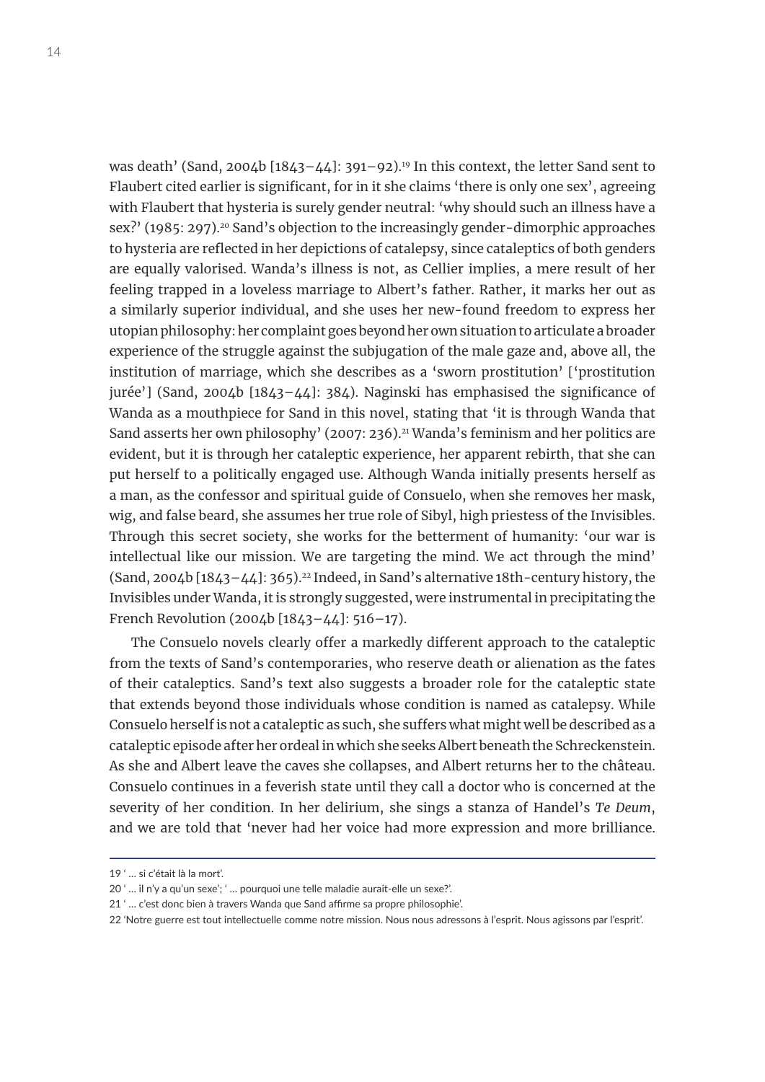was death' (Sand, 2004b  $[1843-44]$ : 391-92).<sup>19</sup> In this context, the letter Sand sent to Flaubert cited earlier is significant, for in it she claims 'there is only one sex', agreeing with Flaubert that hysteria is surely gender neutral: 'why should such an illness have a sex?' (1985: 297).<sup>20</sup> Sand's objection to the increasingly gender-dimorphic approaches to hysteria are reflected in her depictions of catalepsy, since cataleptics of both genders are equally valorised. Wanda's illness is not, as Cellier implies, a mere result of her feeling trapped in a loveless marriage to Albert's father. Rather, it marks her out as a similarly superior individual, and she uses her new-found freedom to express her utopian philosophy: her complaint goes beyond her own situation to articulate a broader experience of the struggle against the subjugation of the male gaze and, above all, the institution of marriage, which she describes as a 'sworn prostitution' ['prostitution jurée'] (Sand, 2004b [1843–44]: 384). Naginski has emphasised the significance of Wanda as a mouthpiece for Sand in this novel, stating that 'it is through Wanda that Sand asserts her own philosophy' (2007: 236).<sup>21</sup> Wanda's feminism and her politics are evident, but it is through her cataleptic experience, her apparent rebirth, that she can put herself to a politically engaged use. Although Wanda initially presents herself as a man, as the confessor and spiritual guide of Consuelo, when she removes her mask, wig, and false beard, she assumes her true role of Sibyl, high priestess of the Invisibles. Through this secret society, she works for the betterment of humanity: 'our war is intellectual like our mission. We are targeting the mind. We act through the mind'  $(Sand, 2004b [1843 - 44]: 365).<sup>22</sup> Indeed, in Sand's alternative 18th-century history, the$ Invisibles under Wanda, it is strongly suggested, were instrumental in precipitating the French Revolution (2004b [1843–44]: 516–17).

The Consuelo novels clearly offer a markedly different approach to the cataleptic from the texts of Sand's contemporaries, who reserve death or alienation as the fates of their cataleptics. Sand's text also suggests a broader role for the cataleptic state that extends beyond those individuals whose condition is named as catalepsy. While Consuelo herself is not a cataleptic as such, she suffers what might well be described as a cataleptic episode after her ordeal in which she seeks Albert beneath the Schreckenstein. As she and Albert leave the caves she collapses, and Albert returns her to the château. Consuelo continues in a feverish state until they call a doctor who is concerned at the severity of her condition. In her delirium, she sings a stanza of Handel's *Te Deum*, and we are told that 'never had her voice had more expression and more brilliance.

<sup>19 &#</sup>x27; … si c'était là la mort'.

<sup>20 &#</sup>x27; … il n'y a qu'un sexe'; ' … pourquoi une telle maladie aurait-elle un sexe?'.

<sup>21 &#</sup>x27; … c'est donc bien à travers Wanda que Sand affirme sa propre philosophie'.

<sup>22 &#</sup>x27;Notre guerre est tout intellectuelle comme notre mission. Nous nous adressons à l'esprit. Nous agissons par l'esprit'.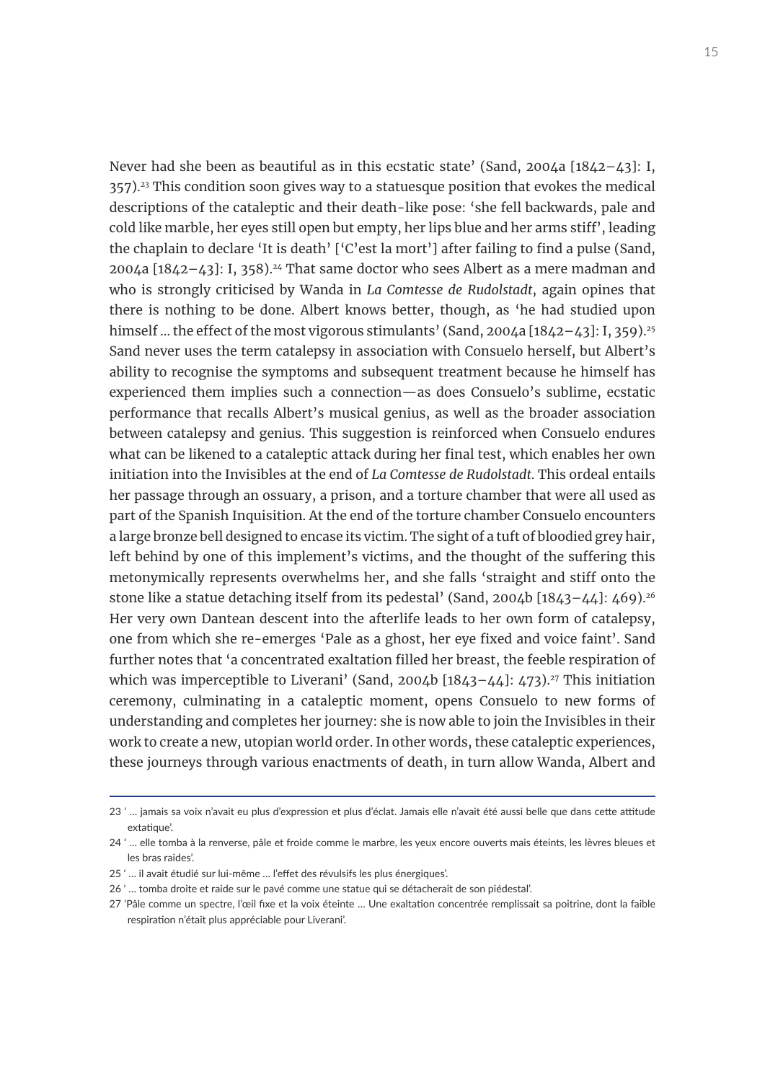Never had she been as beautiful as in this ecstatic state' (Sand, 2004a [1842–43]: I, 357).<sup>23</sup> This condition soon gives way to a statuesque position that evokes the medical descriptions of the cataleptic and their death-like pose: 'she fell backwards, pale and cold like marble, her eyes still open but empty, her lips blue and her arms stiff', leading the chaplain to declare 'It is death' ['C'est la mort'] after failing to find a pulse (Sand,  $2004a$  [1842–43]: I, 358).<sup>24</sup> That same doctor who sees Albert as a mere madman and who is strongly criticised by Wanda in *La Comtesse de Rudolstadt*, again opines that there is nothing to be done. Albert knows better, though, as 'he had studied upon himself ... the effect of the most vigorous stimulants' (Sand, 2004a [1842-43]: I, 359).<sup>25</sup> Sand never uses the term catalepsy in association with Consuelo herself, but Albert's ability to recognise the symptoms and subsequent treatment because he himself has experienced them implies such a connection—as does Consuelo's sublime, ecstatic performance that recalls Albert's musical genius, as well as the broader association between catalepsy and genius. This suggestion is reinforced when Consuelo endures what can be likened to a cataleptic attack during her final test, which enables her own initiation into the Invisibles at the end of *La Comtesse de Rudolstadt*. This ordeal entails her passage through an ossuary, a prison, and a torture chamber that were all used as part of the Spanish Inquisition. At the end of the torture chamber Consuelo encounters a large bronze bell designed to encase its victim. The sight of a tuft of bloodied grey hair, left behind by one of this implement's victims, and the thought of the suffering this metonymically represents overwhelms her, and she falls 'straight and stiff onto the stone like a statue detaching itself from its pedestal' (Sand, 2004b  $[1843 - 44]$ : 469).<sup>26</sup> Her very own Dantean descent into the afterlife leads to her own form of catalepsy, one from which she re-emerges 'Pale as a ghost, her eye fixed and voice faint'. Sand further notes that 'a concentrated exaltation filled her breast, the feeble respiration of which was imperceptible to Liverani' (Sand, 2004b  $[1843-44]$ : 473).<sup>27</sup> This initiation ceremony, culminating in a cataleptic moment, opens Consuelo to new forms of understanding and completes her journey: she is now able to join the Invisibles in their work to create a new, utopian world order. In other words, these cataleptic experiences, these journeys through various enactments of death, in turn allow Wanda, Albert and

<sup>23 &#</sup>x27; … jamais sa voix n'avait eu plus d'expression et plus d'éclat. Jamais elle n'avait été aussi belle que dans cette attitude extatique'.

<sup>24 &#</sup>x27; … elle tomba à la renverse, pâle et froide comme le marbre, les yeux encore ouverts mais éteints, les lèvres bleues et les bras raides'.

<sup>25 &#</sup>x27; … il avait étudié sur lui-même … l'effet des révulsifs les plus énergiques'.

<sup>26 &#</sup>x27; … tomba droite et raide sur le pavé comme une statue qui se détacherait de son piédestal'.

<sup>27 &#</sup>x27;Pâle comme un spectre, l'œil fixe et la voix éteinte … Une exaltation concentrée remplissait sa poitrine, dont la faible respiration n'était plus appréciable pour Liverani'.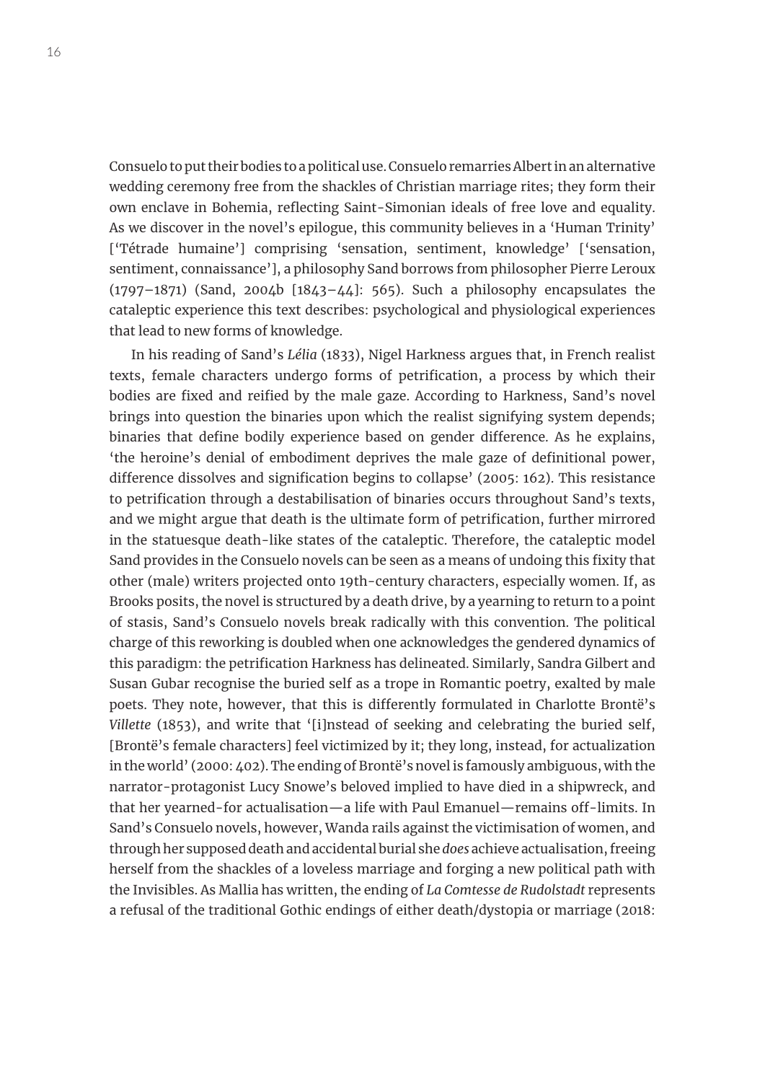Consuelo to put their bodies to a political use. Consuelo remarries Albert in an alternative wedding ceremony free from the shackles of Christian marriage rites; they form their own enclave in Bohemia, reflecting Saint-Simonian ideals of free love and equality. As we discover in the novel's epilogue, this community believes in a 'Human Trinity' ['Tétrade humaine'] comprising 'sensation, sentiment, knowledge' ['sensation, sentiment, connaissance'], a philosophy Sand borrows from philosopher Pierre Leroux (1797–1871) (Sand, 2004b [1843–44]: 565). Such a philosophy encapsulates the cataleptic experience this text describes: psychological and physiological experiences that lead to new forms of knowledge.

In his reading of Sand's *Lélia* (1833), Nigel Harkness argues that, in French realist texts, female characters undergo forms of petrification, a process by which their bodies are fixed and reified by the male gaze. According to Harkness, Sand's novel brings into question the binaries upon which the realist signifying system depends; binaries that define bodily experience based on gender difference. As he explains, 'the heroine's denial of embodiment deprives the male gaze of definitional power, difference dissolves and signification begins to collapse' (2005: 162). This resistance to petrification through a destabilisation of binaries occurs throughout Sand's texts, and we might argue that death is the ultimate form of petrification, further mirrored in the statuesque death-like states of the cataleptic. Therefore, the cataleptic model Sand provides in the Consuelo novels can be seen as a means of undoing this fixity that other (male) writers projected onto 19th-century characters, especially women. If, as Brooks posits, the novel is structured by a death drive, by a yearning to return to a point of stasis, Sand's Consuelo novels break radically with this convention. The political charge of this reworking is doubled when one acknowledges the gendered dynamics of this paradigm: the petrification Harkness has delineated. Similarly, Sandra Gilbert and Susan Gubar recognise the buried self as a trope in Romantic poetry, exalted by male poets. They note, however, that this is differently formulated in Charlotte Brontë's *Villette* (1853), and write that '[i]nstead of seeking and celebrating the buried self, [Brontë's female characters] feel victimized by it; they long, instead, for actualization in the world' (2000: 402). The ending of Brontë's novel is famously ambiguous, with the narrator-protagonist Lucy Snowe's beloved implied to have died in a shipwreck, and that her yearned-for actualisation—a life with Paul Emanuel—remains off-limits. In Sand's Consuelo novels, however, Wanda rails against the victimisation of women, and through her supposed death and accidental burial she *does* achieve actualisation, freeing herself from the shackles of a loveless marriage and forging a new political path with the Invisibles. As Mallia has written, the ending of *La Comtesse de Rudolstadt* represents a refusal of the traditional Gothic endings of either death/dystopia or marriage (2018: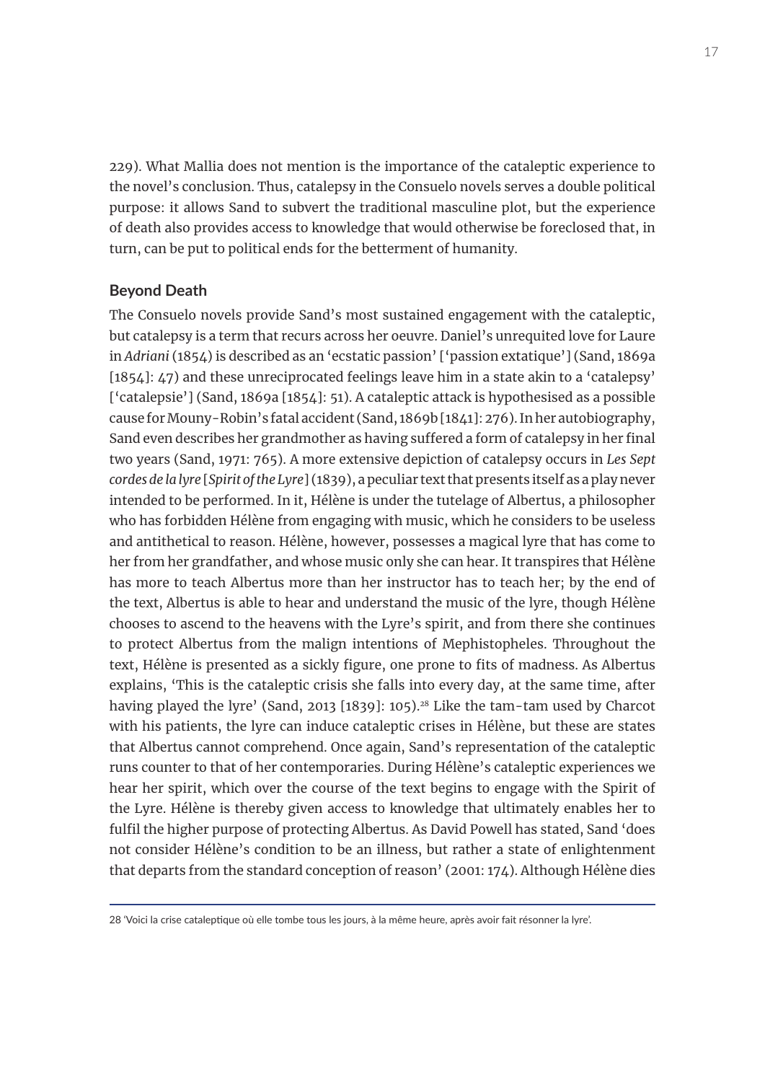229). What Mallia does not mention is the importance of the cataleptic experience to the novel's conclusion. Thus, catalepsy in the Consuelo novels serves a double political purpose: it allows Sand to subvert the traditional masculine plot, but the experience of death also provides access to knowledge that would otherwise be foreclosed that, in turn, can be put to political ends for the betterment of humanity.

#### **Beyond Death**

The Consuelo novels provide Sand's most sustained engagement with the cataleptic, but catalepsy is a term that recurs across her oeuvre. Daniel's unrequited love for Laure in *Adriani* (1854) is described as an 'ecstatic passion' ['passion extatique'] (Sand, 1869a [1854]: 47) and these unreciprocated feelings leave him in a state akin to a 'catalepsy' ['catalepsie'] (Sand, 1869a [1854]: 51). A cataleptic attack is hypothesised as a possible cause for Mouny-Robin's fatal accident (Sand, 1869b [1841]: 276). In her autobiography, Sand even describes her grandmother as having suffered a form of catalepsy in her final two years (Sand, 1971: 765). A more extensive depiction of catalepsy occurs in *Les Sept cordes de la lyre* [*Spirit of the Lyre*] (1839), a peculiar text that presents itself as a play never intended to be performed. In it, Hélène is under the tutelage of Albertus, a philosopher who has forbidden Hélène from engaging with music, which he considers to be useless and antithetical to reason. Hélène, however, possesses a magical lyre that has come to her from her grandfather, and whose music only she can hear. It transpires that Hélène has more to teach Albertus more than her instructor has to teach her; by the end of the text, Albertus is able to hear and understand the music of the lyre, though Hélène chooses to ascend to the heavens with the Lyre's spirit, and from there she continues to protect Albertus from the malign intentions of Mephistopheles. Throughout the text, Hélène is presented as a sickly figure, one prone to fits of madness. As Albertus explains, 'This is the cataleptic crisis she falls into every day, at the same time, after having played the lyre' (Sand, 2013 [1839]: 105).<sup>28</sup> Like the tam-tam used by Charcot with his patients, the lyre can induce cataleptic crises in Hélène, but these are states that Albertus cannot comprehend. Once again, Sand's representation of the cataleptic runs counter to that of her contemporaries. During Hélène's cataleptic experiences we hear her spirit, which over the course of the text begins to engage with the Spirit of the Lyre. Hélène is thereby given access to knowledge that ultimately enables her to fulfil the higher purpose of protecting Albertus. As David Powell has stated, Sand 'does not consider Hélène's condition to be an illness, but rather a state of enlightenment that departs from the standard conception of reason' (2001: 174). Although Hélène dies

<sup>28 &#</sup>x27;Voici la crise cataleptique où elle tombe tous les jours, à la même heure, après avoir fait résonner la lyre'.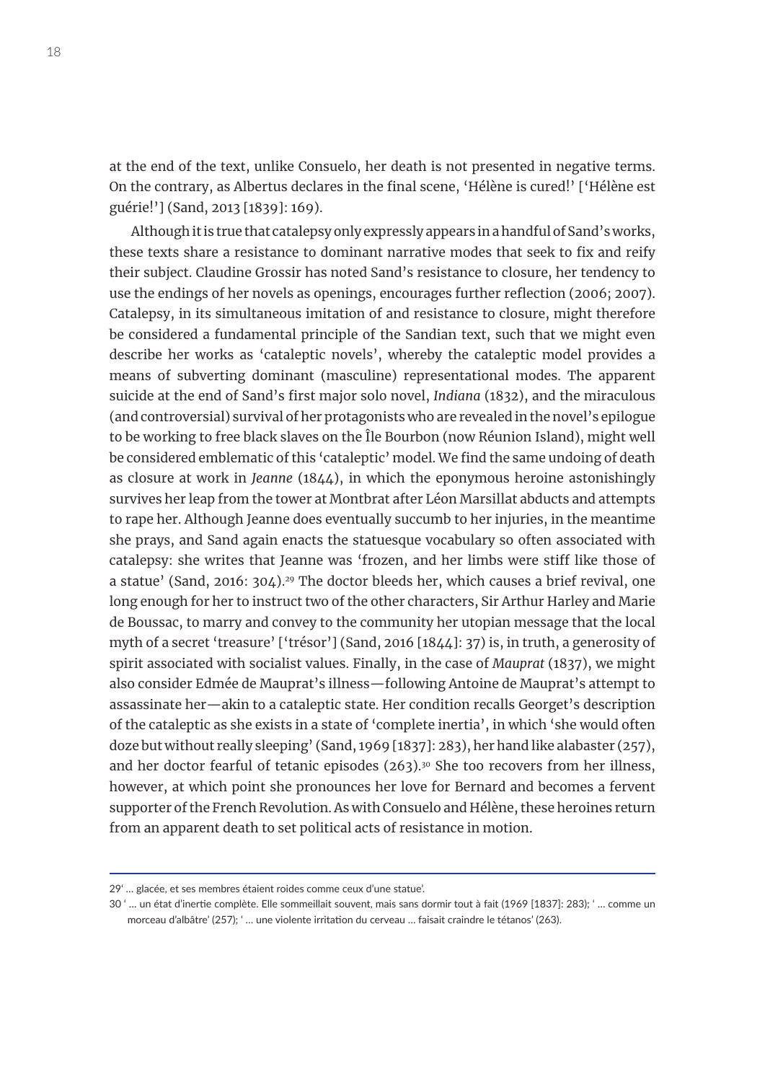at the end of the text, unlike Consuelo, her death is not presented in negative terms. On the contrary, as Albertus declares in the final scene, 'Hélène is cured!' ['Hélène est guérie!'] (Sand, 2013 [1839]: 169).

Although it is true that catalepsy only expressly appears in a handful of Sand's works, these texts share a resistance to dominant narrative modes that seek to fix and reify their subject. Claudine Grossir has noted Sand's resistance to closure, her tendency to use the endings of her novels as openings, encourages further reflection (2006; 2007). Catalepsy, in its simultaneous imitation of and resistance to closure, might therefore be considered a fundamental principle of the Sandian text, such that we might even describe her works as 'cataleptic novels', whereby the cataleptic model provides a means of subverting dominant (masculine) representational modes. The apparent suicide at the end of Sand's first major solo novel, *Indiana* (1832), and the miraculous (and controversial) survival of her protagonists who are revealed in the novel's epilogue to be working to free black slaves on the Île Bourbon (now Réunion Island), might well be considered emblematic of this 'cataleptic' model. We find the same undoing of death as closure at work in *Jeanne* (1844), in which the eponymous heroine astonishingly survives her leap from the tower at Montbrat after Léon Marsillat abducts and attempts to rape her. Although Jeanne does eventually succumb to her injuries, in the meantime she prays, and Sand again enacts the statuesque vocabulary so often associated with catalepsy: she writes that Jeanne was 'frozen, and her limbs were stiff like those of a statue' (Sand, 2016: 304).<sup>29</sup> The doctor bleeds her, which causes a brief revival, one long enough for her to instruct two of the other characters, Sir Arthur Harley and Marie de Boussac, to marry and convey to the community her utopian message that the local myth of a secret 'treasure' ['trésor'] (Sand, 2016 [1844]: 37) is, in truth, a generosity of spirit associated with socialist values. Finally, in the case of *Mauprat* (1837), we might also consider Edmée de Mauprat's illness—following Antoine de Mauprat's attempt to assassinate her—akin to a cataleptic state. Her condition recalls Georget's description of the cataleptic as she exists in a state of 'complete inertia', in which 'she would often doze but without really sleeping' (Sand, 1969 [1837]: 283), her hand like alabaster (257), and her doctor fearful of tetanic episodes (263).<sup>30</sup> She too recovers from her illness, however, at which point she pronounces her love for Bernard and becomes a fervent supporter of the French Revolution. As with Consuelo and Hélène, these heroines return from an apparent death to set political acts of resistance in motion.

<sup>29&#</sup>x27; … glacée, et ses membres étaient roides comme ceux d'une statue'.

<sup>30 &#</sup>x27; … un état d'inertie complète. Elle sommeillait souvent, mais sans dormir tout à fait (1969 [1837]: 283); ' … comme un morceau d'albâtre' (257); ' … une violente irritation du cerveau … faisait craindre le tétanos' (263).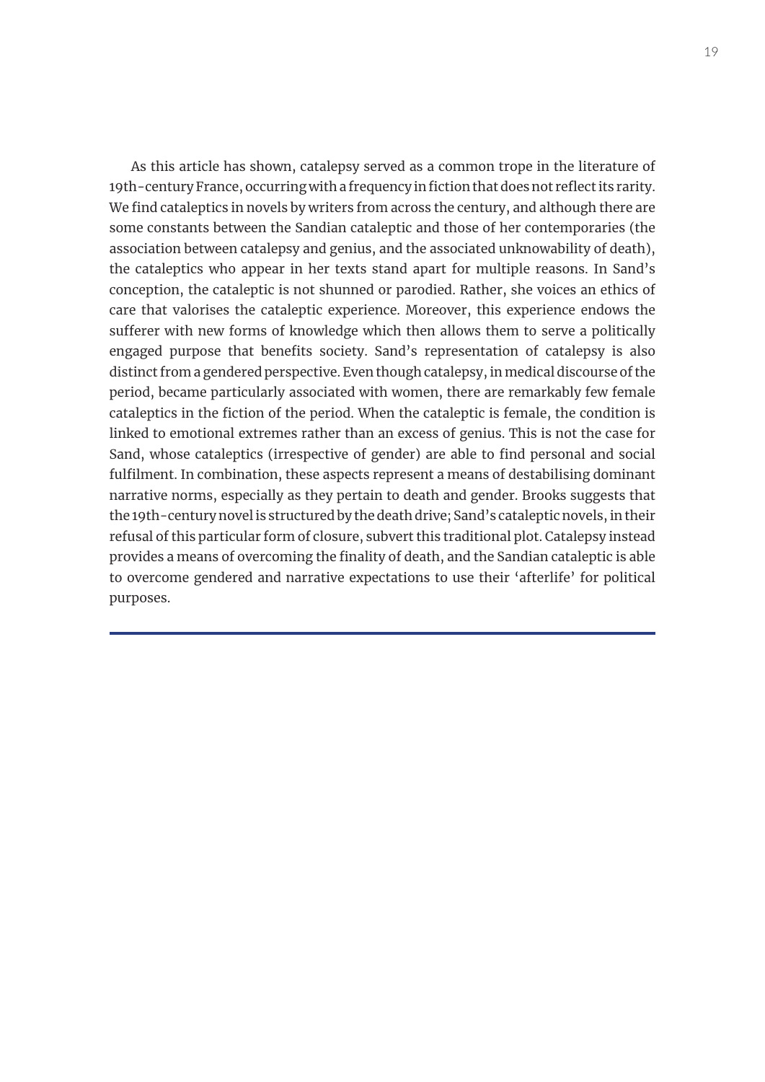As this article has shown, catalepsy served as a common trope in the literature of 19th-century France, occurring with a frequency in fiction that does not reflect its rarity. We find cataleptics in novels by writers from across the century, and although there are some constants between the Sandian cataleptic and those of her contemporaries (the association between catalepsy and genius, and the associated unknowability of death), the cataleptics who appear in her texts stand apart for multiple reasons. In Sand's conception, the cataleptic is not shunned or parodied. Rather, she voices an ethics of care that valorises the cataleptic experience. Moreover, this experience endows the sufferer with new forms of knowledge which then allows them to serve a politically engaged purpose that benefits society. Sand's representation of catalepsy is also distinct from a gendered perspective. Even though catalepsy, in medical discourse of the period, became particularly associated with women, there are remarkably few female cataleptics in the fiction of the period. When the cataleptic is female, the condition is linked to emotional extremes rather than an excess of genius. This is not the case for Sand, whose cataleptics (irrespective of gender) are able to find personal and social fulfilment. In combination, these aspects represent a means of destabilising dominant narrative norms, especially as they pertain to death and gender. Brooks suggests that the 19th-century novel is structured by the death drive; Sand's cataleptic novels, in their refusal of this particular form of closure, subvert this traditional plot. Catalepsy instead provides a means of overcoming the finality of death, and the Sandian cataleptic is able to overcome gendered and narrative expectations to use their 'afterlife' for political purposes.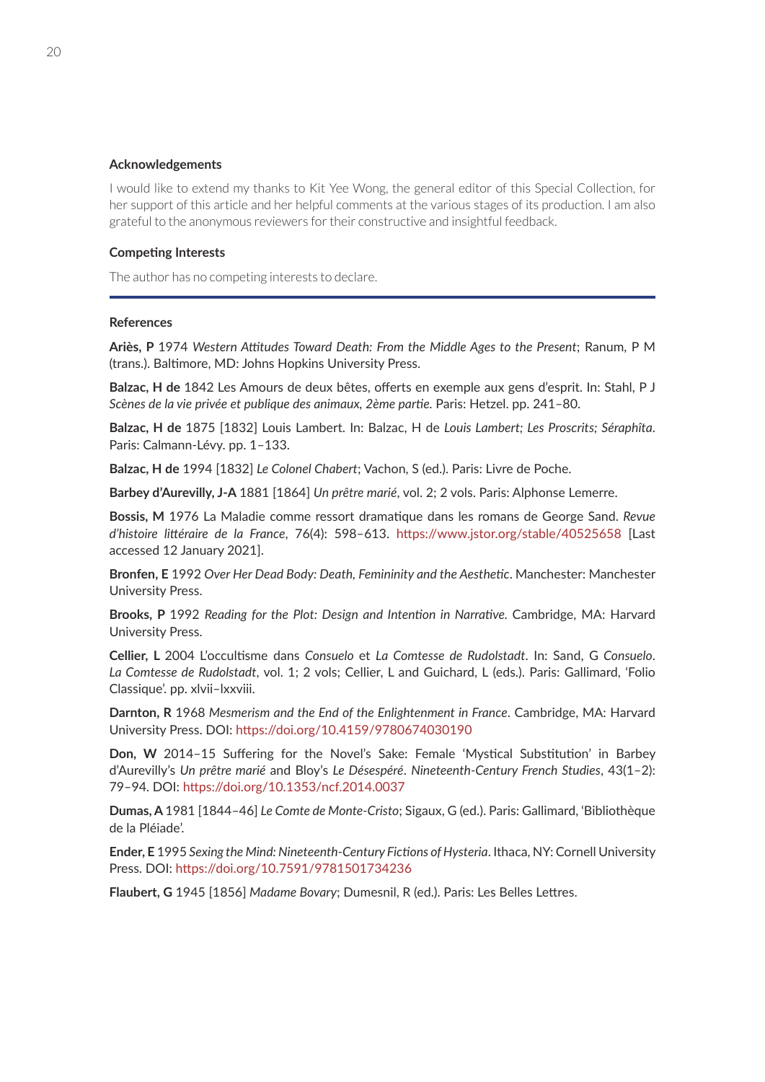#### **Acknowledgements**

I would like to extend my thanks to Kit Yee Wong, the general editor of this Special Collection, for her support of this article and her helpful comments at the various stages of its production. I am also grateful to the anonymous reviewers for their constructive and insightful feedback.

#### **Competing Interests**

The author has no competing interests to declare.

#### **References**

**Ariès, P** 1974 *Western Attitudes Toward Death: From the Middle Ages to the Present*; Ranum, P M (trans.). Baltimore, MD: Johns Hopkins University Press.

**Balzac, H de** 1842 Les Amours de deux bêtes, offerts en exemple aux gens d'esprit. In: Stahl, P J *Scènes de la vie privée et publique des animaux, 2ème partie.* Paris: Hetzel. pp. 241–80.

**Balzac, H de** 1875 [1832] Louis Lambert. In: Balzac, H de *Louis Lambert; Les Proscrits; Séraphîta*. Paris: Calmann-Lévy. pp. 1–133.

**Balzac, H de** 1994 [1832] *Le Colonel Chabert*; Vachon, S (ed.). Paris: Livre de Poche.

**Barbey d'Aurevilly, J-A** 1881 [1864] *Un prêtre marié*, vol. 2; 2 vols. Paris: Alphonse Lemerre.

**Bossis, M** 1976 La Maladie comme ressort dramatique dans les romans de George Sand. *Revue d'histoire littéraire de la France*, 76(4): 598–613. <https://www.jstor.org/stable/40525658>[Last accessed 12 January 2021].

**Bronfen, E** 1992 *Over Her Dead Body: Death, Femininity and the Aesthetic*. Manchester: Manchester University Press.

**Brooks, P** 1992 *Reading for the Plot: Design and Intention in Narrative.* Cambridge, MA: Harvard University Press.

**Cellier, L** 2004 L'occultisme dans *Consuelo* et *La Comtesse de Rudolstadt*. In: Sand, G *Consuelo*. *La Comtesse de Rudolstadt*, vol. 1; 2 vols; Cellier, L and Guichard, L (eds.). Paris: Gallimard, 'Folio Classique'. pp. xlvii–lxxviii.

**Darnton, R** 1968 *Mesmerism and the End of the Enlightenment in France*. Cambridge, MA: Harvard University Press. DOI: <https://doi.org/10.4159/9780674030190>

**Don, W** 2014–15 Suffering for the Novel's Sake: Female 'Mystical Substitution' in Barbey d'Aurevilly's *Un prêtre marié* and Bloy's *Le Désespéré*. *Nineteenth-Century French Studies*, 43(1–2): 79–94. DOI:<https://doi.org/10.1353/ncf.2014.0037>

**Dumas, A** 1981 [1844–46] *Le Comte de Monte-Cristo*; Sigaux, G (ed.). Paris: Gallimard, 'Bibliothèque de la Pléiade'.

**Ender, E** 1995 *Sexing the Mind: Nineteenth-Century Fictions of Hysteria*. Ithaca, NY: Cornell University Press. DOI: <https://doi.org/10.7591/9781501734236>

**Flaubert, G** 1945 [1856] *Madame Bovary*; Dumesnil, R (ed.). Paris: Les Belles Lettres.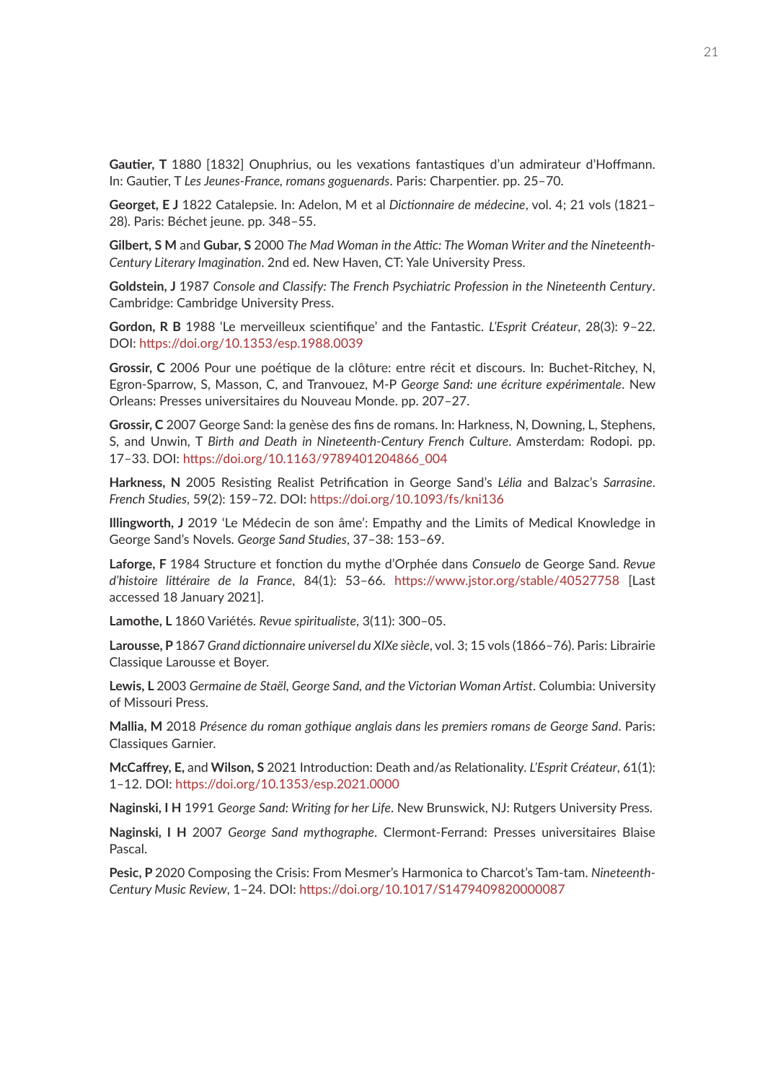**Gautier, T** 1880 [1832] Onuphrius, ou les vexations fantastiques d'un admirateur d'Hoffmann. In: Gautier, T *Les Jeunes-France, romans goguenards*. Paris: Charpentier. pp. 25–70.

**Georget, E J** 1822 Catalepsie. In: Adelon, M et al *Dictionnaire de médecine*, vol. 4; 21 vols (1821– 28). Paris: Béchet jeune. pp. 348–55.

**Gilbert, S M** and **Gubar, S** 2000 *The Mad Woman in the Attic: The Woman Writer and the Nineteenth-Century Literary Imagination*. 2nd ed. New Haven, CT: Yale University Press.

**Goldstein, J** 1987 *Console and Classify: The French Psychiatric Profession in the Nineteenth Century*. Cambridge: Cambridge University Press.

**Gordon, R B** 1988 'Le merveilleux scientifique' and the Fantastic. *L'Esprit Créateur*, 28(3): 9–22. DOI: <https://doi.org/10.1353/esp.1988.0039>

**Grossir, C** 2006 Pour une poétique de la clôture: entre récit et discours. In: Buchet-Ritchey, N, Egron-Sparrow, S, Masson, C, and Tranvouez, M-P *George Sand: une écriture expérimentale*. New Orleans: Presses universitaires du Nouveau Monde. pp. 207–27.

**Grossir, C** 2007 George Sand: la genèse des fins de romans. In: Harkness, N, Downing, L, Stephens, S, and Unwin, T *Birth and Death in Nineteenth-Century French Culture*. Amsterdam: Rodopi. pp. 17–33. DOI: [https://doi.org/10.1163/9789401204866\\_004](https://doi.org/10.1163/9789401204866_004)

**Harkness, N** 2005 Resisting Realist Petrification in George Sand's *Lélia* and Balzac's *Sarrasine*. *French Studies*, 59(2): 159–72. DOI:<https://doi.org/10.1093/fs/kni136>

**Illingworth, J** 2019 'Le Médecin de son âme': Empathy and the Limits of Medical Knowledge in George Sand's Novels. *George Sand Studies*, 37–38: 153–69.

**Laforge, F** 1984 Structure et fonction du mythe d'Orphée dans *Consuelo* de George Sand. *Revue d'histoire littéraire de la France*, 84(1): 53–66. <https://www.jstor.org/stable/40527758> [Last accessed 18 January 2021].

**Lamothe, L** 1860 Variétés. *Revue spiritualiste*, 3(11): 300–05.

**Larousse, P** 1867 *Grand dictionnaire universel du XIXe siècle*, vol. 3; 15 vols (1866–76). Paris: Librairie Classique Larousse et Boyer.

**Lewis, L** 2003 *Germaine de Staël, George Sand, and the Victorian Woman Artist*. Columbia: University of Missouri Press.

**Mallia, M** 2018 *Présence du roman gothique anglais dans les premiers romans de George Sand*. Paris: Classiques Garnier.

**McCaffrey, E,** and **Wilson, S** 2021 Introduction: Death and/as Relationality. *L'Esprit Créateur*, 61(1): 1–12. DOI: <https://doi.org/10.1353/esp.2021.0000>

**Naginski, I H** 1991 *George Sand: Writing for her Life*. New Brunswick, NJ: Rutgers University Press.

**Naginski, I H** 2007 *George Sand mythographe*. Clermont-Ferrand: Presses universitaires Blaise Pascal.

**Pesic, P** 2020 Composing the Crisis: From Mesmer's Harmonica to Charcot's Tam-tam. *Nineteenth-Century Music Review*, 1–24. DOI:<https://doi.org/10.1017/S1479409820000087>